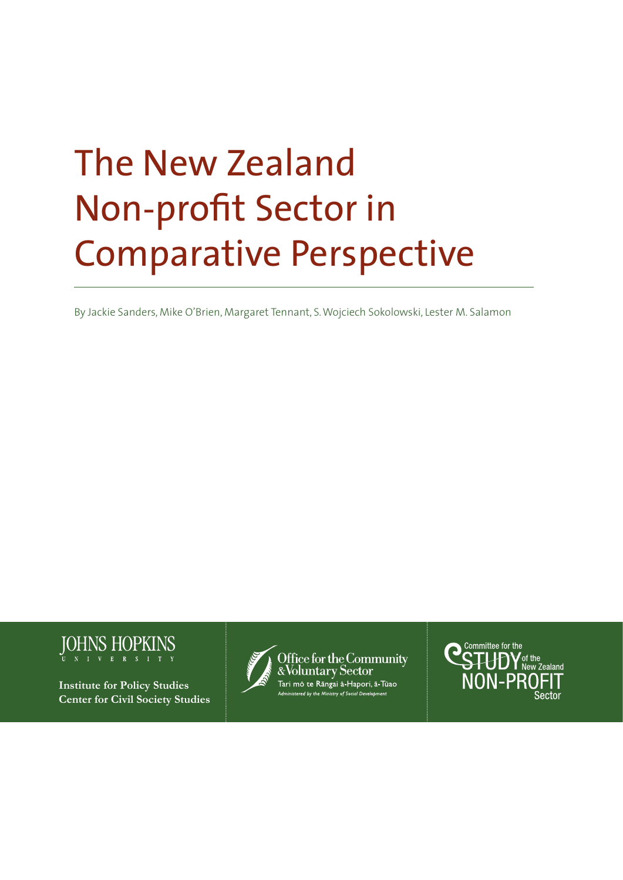# The New Zealand Non-profit Sector in Comparative Perspective

By Jackie Sanders, Mike O'Brien, Margaret Tennant, S. Wojciech Sokolowski, Lester M. Salamon



**Institute for Policy Studies Center for Civil Society Studies**



Office for the Community<br>&Voluntary Sector .<br>Tari mō te Rāngai ā-Hapori, ā-Tūao red by the Ministry of Social Developmen

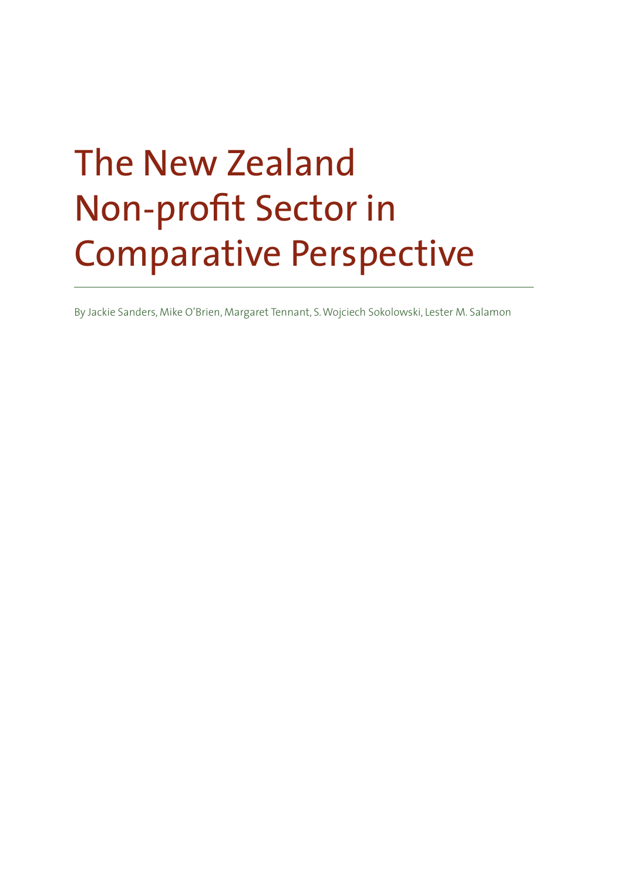# The New Zealand Non-profit Sector in Comparative Perspective

By Jackie Sanders, Mike O'Brien, Margaret Tennant, S. Wojciech Sokolowski, Lester M. Salamon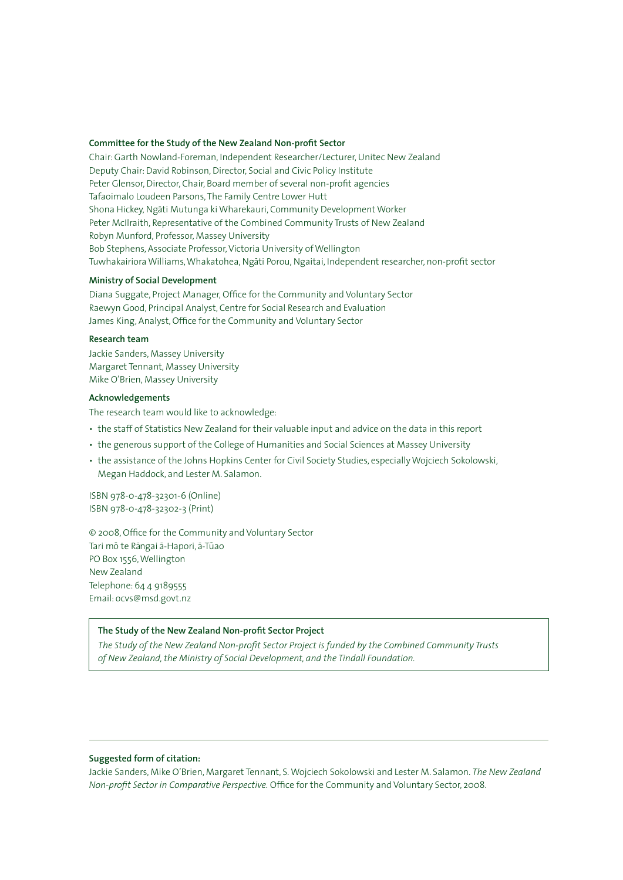#### **Committee for the Study of the New Zealand Non-profit Sector**

Chair: Garth Nowland-Foreman, Independent Researcher/Lecturer, Unitec New Zealand Deputy Chair: David Robinson, Director, Social and Civic Policy Institute Peter Glensor, Director, Chair, Board member of several non-profit agencies Tafaoimalo Loudeen Parsons, The Family Centre Lower Hutt Shona Hickey, Ngāti Mutunga ki Wharekauri, Community Development Worker Peter McIlraith, Representative of the Combined Community Trusts of New Zealand Robyn Munford, Professor, Massey University Bob Stephens, Associate Professor, Victoria University of Wellington Tuwhakairiora Williams, Whakatohea, Ngāti Porou, Ngaitai, Independent researcher, non-profit sector

#### **Ministry of Social Development**

Diana Suggate, Project Manager, Office for the Community and Voluntary Sector Raewyn Good, Principal Analyst, Centre for Social Research and Evaluation James King, Analyst, Office for the Community and Voluntary Sector

### **Research team**

Jackie Sanders, Massey University Margaret Tennant, Massey University Mike O'Brien, Massey University

#### **Acknowledgements**

The research team would like to acknowledge:

- the staff of Statistics New Zealand for their valuable input and advice on the data in this report
- the generous support of the College of Humanities and Social Sciences at Massey University
- the assistance of the Johns Hopkins Center for Civil Society Studies, especially Wojciech Sokolowski, Megan Haddock, and Lester M. Salamon.

ISBN 978-0-478-32301-6 (Online) ISBN 978-0-478-32302-3 (Print)

© 2008, Office for the Community and Voluntary Sector Tari mō te Rāngai ā-Hapori, ā-Tūao PO Box 1556, Wellington New Zealand Telephone: 64 4 9189555 Email: ocvs@msd.govt.nz

#### **The Study of the New Zealand Non-profit Sector Project**

*The Study of the New Zealand Non-profit Sector Project is funded by the Combined Community Trusts of New Zealand, the Ministry of Social Development, and the Tindall Foundation.*

#### **Suggested form of citation:**

Jackie Sanders, Mike O'Brien, Margaret Tennant, S. Wojciech Sokolowski and Lester M. Salamon. *The New Zealand Non-profit Sector in Comparative Perspective.* Office for the Community and Voluntary Sector, 2008.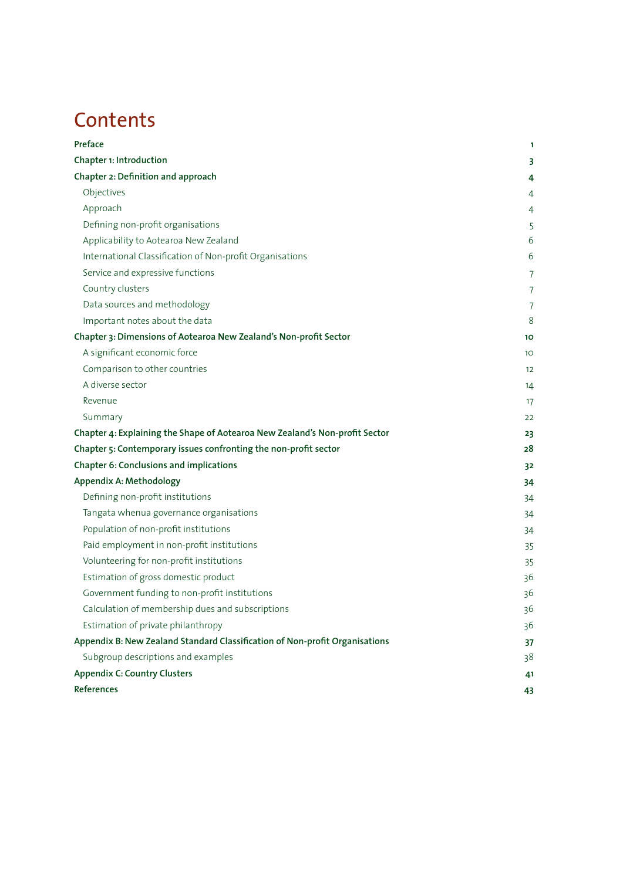# **Contents**

| Preface                                                                     | 1              |
|-----------------------------------------------------------------------------|----------------|
| Chapter 1: Introduction                                                     | 3              |
| Chapter 2: Definition and approach                                          | 4              |
| Objectives                                                                  | 4              |
| Approach                                                                    | 4              |
| Defining non-profit organisations                                           | 5              |
| Applicability to Aotearoa New Zealand                                       | 6              |
| International Classification of Non-profit Organisations                    | 6              |
| Service and expressive functions                                            | $\overline{7}$ |
| Country clusters                                                            | $\overline{7}$ |
| Data sources and methodology                                                | $\overline{7}$ |
| Important notes about the data                                              | 8              |
| Chapter 3: Dimensions of Aotearoa New Zealand's Non-profit Sector           | 10             |
| A significant economic force                                                | 10             |
| Comparison to other countries                                               | 12             |
| A diverse sector                                                            | 14             |
| Revenue                                                                     | 17             |
| Summary                                                                     | 22             |
| Chapter 4: Explaining the Shape of Aotearoa New Zealand's Non-profit Sector | 23             |
| Chapter 5: Contemporary issues confronting the non-profit sector            | 28             |
| Chapter 6: Conclusions and implications                                     | 3 <sup>2</sup> |
| Appendix A: Methodology                                                     | 34             |
| Defining non-profit institutions                                            | 34             |
| Tangata whenua governance organisations                                     | 34             |
| Population of non-profit institutions                                       | 34             |
| Paid employment in non-profit institutions                                  | 35             |
| Volunteering for non-profit institutions                                    | 35             |
| Estimation of gross domestic product                                        | 36             |
| Government funding to non-profit institutions                               | 36             |
| Calculation of membership dues and subscriptions                            | 36             |
| Estimation of private philanthropy                                          | 36             |
| Appendix B: New Zealand Standard Classification of Non-profit Organisations | 37             |
| Subgroup descriptions and examples                                          | 38             |
| <b>Appendix C: Country Clusters</b>                                         | 41             |
| References                                                                  | 43             |
|                                                                             |                |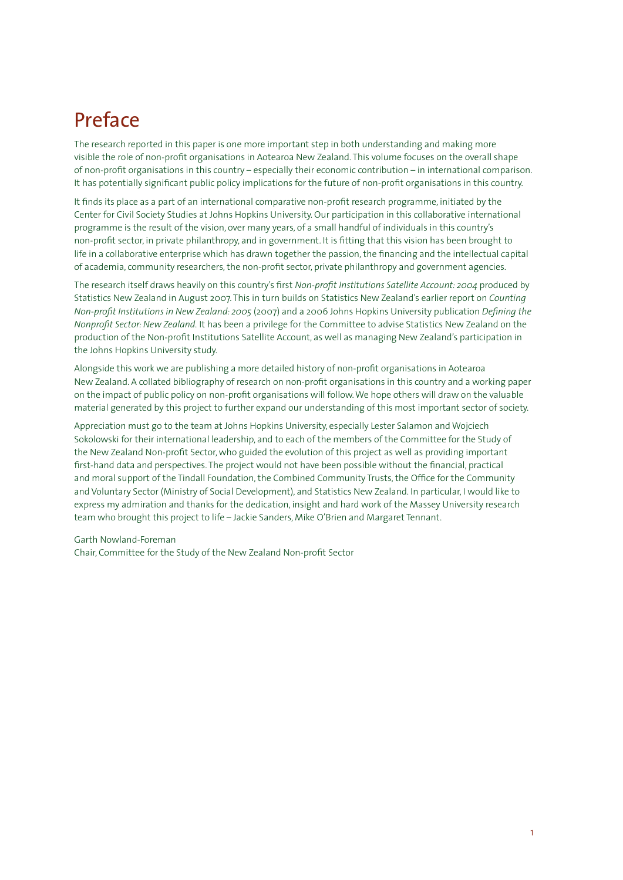# Preface

The research reported in this paper is one more important step in both understanding and making more visible the role of non-profit organisations in Aotearoa New Zealand. This volume focuses on the overall shape of non-profit organisations in this country – especially their economic contribution – in international comparison. It has potentially significant public policy implications for the future of non-profit organisations in this country.

It finds its place as a part of an international comparative non-profit research programme, initiated by the Center for Civil Society Studies at Johns Hopkins University. Our participation in this collaborative international programme is the result of the vision, over many years, of a small handful of individuals in this country's non-profit sector, in private philanthropy, and in government. It is fitting that this vision has been brought to life in a collaborative enterprise which has drawn together the passion, the financing and the intellectual capital of academia, community researchers, the non-profit sector, private philanthropy and government agencies.

The research itself draws heavily on this country's first *Non-profit Institutions Satellite Account: 2004* produced by Statistics New Zealand in August 2007. This in turn builds on Statistics New Zealand's earlier report on *Counting Non-profit Institutions in New Zealand: 2005* (2007) and a 2006 Johns Hopkins University publication *Defining the Nonprofit Sector: New Zealand.* It has been a privilege for the Committee to advise Statistics New Zealand on the production of the Non-profit Institutions Satellite Account, as well as managing New Zealand's participation in the Johns Hopkins University study.

Alongside this work we are publishing a more detailed history of non-profit organisations in Aotearoa New Zealand. A collated bibliography of research on non-profit organisations in this country and a working paper on the impact of public policy on non-profit organisations will follow. We hope others will draw on the valuable material generated by this project to further expand our understanding of this most important sector of society.

Appreciation must go to the team at Johns Hopkins University, especially Lester Salamon and Wojciech Sokolowski for their international leadership, and to each of the members of the Committee for the Study of the New Zealand Non-profit Sector, who guided the evolution of this project as well as providing important first-hand data and perspectives. The project would not have been possible without the financial, practical and moral support of the Tindall Foundation, the Combined Community Trusts, the Office for the Community and Voluntary Sector (Ministry of Social Development), and Statistics New Zealand. In particular, I would like to express my admiration and thanks for the dedication, insight and hard work of the Massey University research team who brought this project to life – Jackie Sanders, Mike O'Brien and Margaret Tennant.

Garth Nowland-Foreman

Chair, Committee for the Study of the New Zealand Non-profit Sector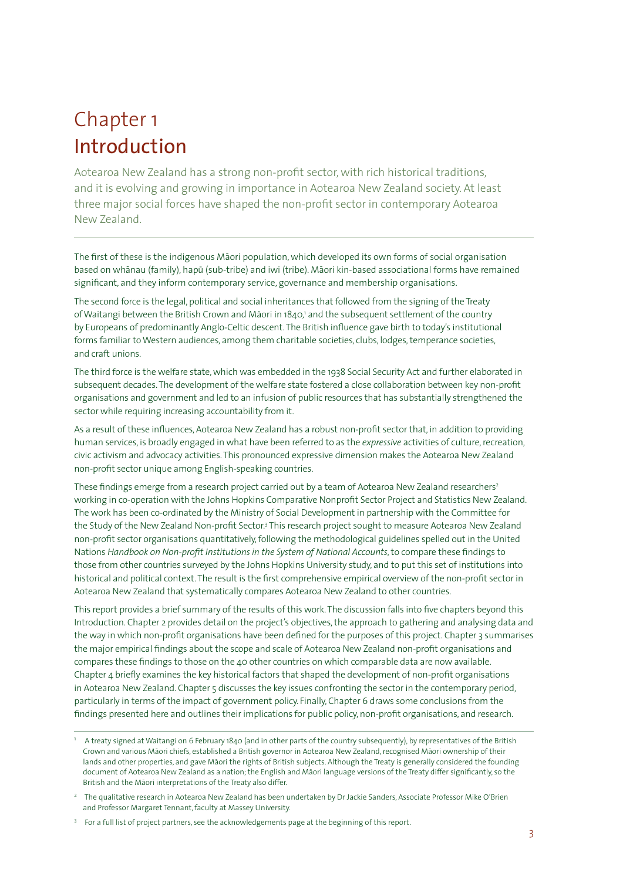# Chapter 1 Introduction

Aotearoa New Zealand has a strong non-profit sector, with rich historical traditions, and it is evolving and growing in importance in Aotearoa New Zealand society. At least three major social forces have shaped the non-profit sector in contemporary Aotearoa New Zealand.

The first of these is the indigenous Māori population, which developed its own forms of social organisation based on whānau (family), hapū (sub-tribe) and iwi (tribe). Māori kin-based associational forms have remained significant, and they inform contemporary service, governance and membership organisations.

The second force is the legal, political and social inheritances that followed from the signing of the Treaty of Waitangi between the British Crown and Māori in 1840,' and the subsequent settlement of the country by Europeans of predominantly Anglo-Celtic descent. The British influence gave birth to today's institutional forms familiar to Western audiences, among them charitable societies, clubs, lodges, temperance societies, and craft unions.

The third force is the welfare state, which was embedded in the 1938 Social Security Act and further elaborated in subsequent decades. The development of the welfare state fostered a close collaboration between key non-profit organisations and government and led to an infusion of public resources that has substantially strengthened the sector while requiring increasing accountability from it.

As a result of these influences, Aotearoa New Zealand has a robust non-profit sector that, in addition to providing human services, is broadly engaged in what have been referred to as the *expressive* activities of culture, recreation, civic activism and advocacy activities. This pronounced expressive dimension makes the Aotearoa New Zealand non-profit sector unique among English-speaking countries.

These findings emerge from a research project carried out by a team of Aotearoa New Zealand researchers<sup>2</sup> working in co-operation with the Johns Hopkins Comparative Nonprofit Sector Project and Statistics New Zealand. The work has been co-ordinated by the Ministry of Social Development in partnership with the Committee for the Study of the New Zealand Non-profit Sector.<sup>3</sup> This research project sought to measure Aotearoa New Zealand non-profit sector organisations quantitatively, following the methodological guidelines spelled out in the United Nations *Handbook on Non-profit Institutions in the System of National Accounts*, to compare these findings to those from other countries surveyed by the Johns Hopkins University study, and to put this set of institutions into historical and political context. The result is the first comprehensive empirical overview of the non-profit sector in Aotearoa New Zealand that systematically compares Aotearoa New Zealand to other countries.

This report provides a brief summary of the results of this work. The discussion falls into five chapters beyond this Introduction. Chapter 2 provides detail on the project's objectives, the approach to gathering and analysing data and the way in which non-profit organisations have been defined for the purposes of this project. Chapter 3 summarises the major empirical findings about the scope and scale of Aotearoa New Zealand non-profit organisations and compares these findings to those on the 40 other countries on which comparable data are now available. Chapter 4 briefly examines the key historical factors that shaped the development of non-profit organisations in Aotearoa New Zealand. Chapter 5 discusses the key issues confronting the sector in the contemporary period, particularly in terms of the impact of government policy. Finally, Chapter 6 draws some conclusions from the findings presented here and outlines their implications for public policy, non-profit organisations, and research.

A treaty signed at Waitangi on 6 February 1840 (and in other parts of the country subsequently), by representatives of the British Crown and various Māori chiefs, established a British governor in Aotearoa New Zealand, recognised Māori ownership of their lands and other properties, and gave Māori the rights of British subjects. Although the Treaty is generally considered the founding document of Aotearoa New Zealand as a nation; the English and Māori language versions of the Treaty differ significantly, so the British and the Māori interpretations of the Treaty also differ.

<sup>&</sup>lt;sup>2</sup> The qualitative research in Aotearoa New Zealand has been undertaken by Dr Jackie Sanders, Associate Professor Mike O'Brien and Professor Margaret Tennant, faculty at Massey University.

<sup>&</sup>lt;sup>3</sup> For a full list of project partners, see the acknowledgements page at the beginning of this report.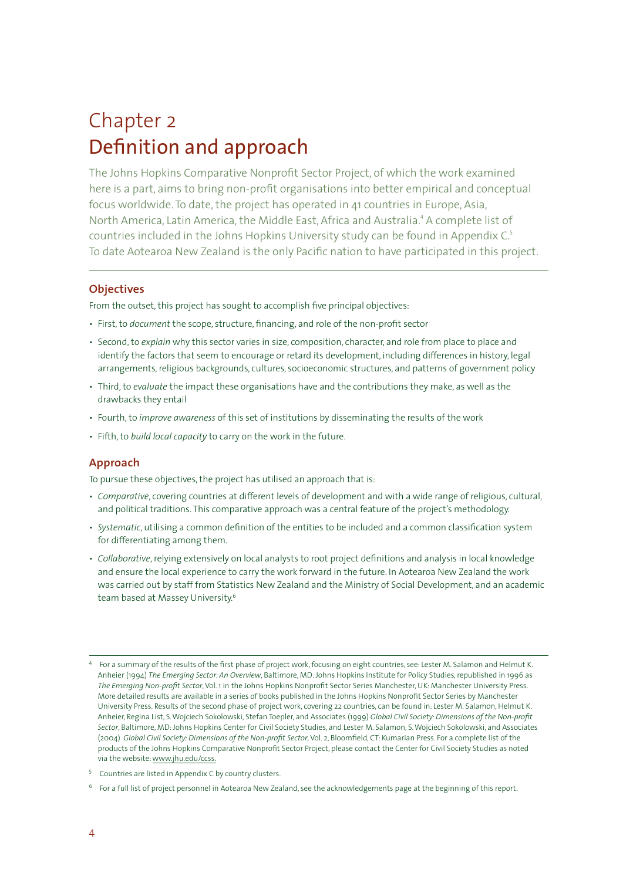# Chapter 2 Definition and approach

The Johns Hopkins Comparative Nonprofit Sector Project, of which the work examined here is a part, aims to bring non-profit organisations into better empirical and conceptual focus worldwide. To date, the project has operated in 41 countries in Europe, Asia, North America, Latin America, the Middle East, Africa and Australia.<sup>4</sup> A complete list of countries included in the Johns Hopkins University study can be found in Appendix C. To date Aotearoa New Zealand is the only Pacific nation to have participated in this project.

### **Objectives**

From the outset, this project has sought to accomplish five principal objectives:

- First, to *document* the scope, structure, financing, and role of the non-profit sector
- Second, to *explain* why this sector varies in size, composition, character, and role from place to place and identify the factors that seem to encourage or retard its development, including differences in history, legal arrangements, religious backgrounds, cultures, socioeconomic structures, and patterns of government policy
- Third, to *evaluate* the impact these organisations have and the contributions they make, as well as the drawbacks they entail
- Fourth, to *improve awareness* of this set of institutions by disseminating the results of the work
- Fifth, to *build local capacity* to carry on the work in the future.

# **Approach**

To pursue these objectives, the project has utilised an approach that is:

- *Comparative*, covering countries at different levels of development and with a wide range of religious, cultural, and political traditions. This comparative approach was a central feature of the project's methodology.
- *Systematic*, utilising a common definition of the entities to be included and a common classification system for differentiating among them.
- *Collaborative*, relying extensively on local analysts to root project definitions and analysis in local knowledge and ensure the local experience to carry the work forward in the future. In Aotearoa New Zealand the work was carried out by staff from Statistics New Zealand and the Ministry of Social Development, and an academic team based at Massey University.

- $5$  Countries are listed in Appendix C by country clusters.
- $6$  For a full list of project personnel in Aotearoa New Zealand, see the acknowledgements page at the beginning of this report.

For a summary of the results of the first phase of project work, focusing on eight countries, see: Lester M. Salamon and Helmut K. Anheier (1994) *The Emerging Sector: An Overview*, Baltimore, MD: Johns Hopkins Institute for Policy Studies, republished in 1996 as *The Emerging Non-profit Sector*, Vol. 1 in the Johns Hopkins Nonprofit Sector Series Manchester, UK: Manchester University Press. More detailed results are available in a series of books published in the Johns Hopkins Nonprofit Sector Series by Manchester University Press. Results of the second phase of project work, covering 22 countries, can be found in: Lester M. Salamon, Helmut K. Anheier, Regina List, S. Wojciech Sokolowski, Stefan Toepler, and Associates (1999) *Global Civil Society: Dimensions of the Non-profit Sector*, Baltimore, MD: Johns Hopkins Center for Civil Society Studies, and Lester M. Salamon, S. Wojciech Sokolowski, and Associates (2004) *Global Civil Society: Dimensions of the Non-profit Sector*, Vol. 2, Bloomfield, CT: Kumarian Press. For a complete list of the products of the Johns Hopkins Comparative Nonprofit Sector Project, please contact the Center for Civil Society Studies as noted via the website: www.jhu.edu/ccss.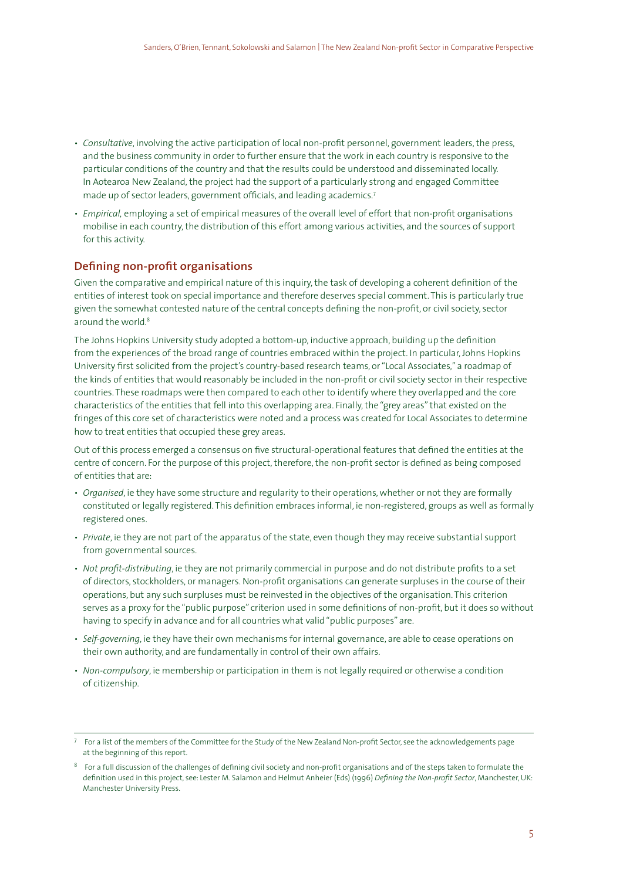- *Consultative*, involving the active participation of local non-profit personnel, government leaders, the press, and the business community in order to further ensure that the work in each country is responsive to the particular conditions of the country and that the results could be understood and disseminated locally. In Aotearoa New Zealand, the project had the support of a particularly strong and engaged Committee made up of sector leaders, government officials, and leading academics.<sup>7</sup>
- *Empirical,* employing a set of empirical measures of the overall level of effort that non-profit organisations mobilise in each country, the distribution of this effort among various activities, and the sources of support for this activity.

### **Defining non-profit organisations**

Given the comparative and empirical nature of this inquiry, the task of developing a coherent definition of the entities of interest took on special importance and therefore deserves special comment. This is particularly true given the somewhat contested nature of the central concepts defining the non-profit, or civil society, sector around the world.

The Johns Hopkins University study adopted a bottom-up, inductive approach, building up the definition from the experiences of the broad range of countries embraced within the project. In particular, Johns Hopkins University first solicited from the project's country-based research teams, or "Local Associates," a roadmap of the kinds of entities that would reasonably be included in the non-profit or civil society sector in their respective countries. These roadmaps were then compared to each other to identify where they overlapped and the core characteristics of the entities that fell into this overlapping area. Finally, the "grey areas" that existed on the fringes of this core set of characteristics were noted and a process was created for Local Associates to determine how to treat entities that occupied these grey areas.

Out of this process emerged a consensus on five structural-operational features that defined the entities at the centre of concern. For the purpose of this project, therefore, the non-profit sector is defined as being composed of entities that are:

- *Organised*, ie they have some structure and regularity to their operations, whether or not they are formally constituted or legally registered. This definition embraces informal, ie non-registered, groups as well as formally registered ones.
- *Private*, ie they are not part of the apparatus of the state, even though they may receive substantial support from governmental sources.
- *Not profit-distributing*, ie they are not primarily commercial in purpose and do not distribute profits to a set of directors, stockholders, or managers. Non-profit organisations can generate surpluses in the course of their operations, but any such surpluses must be reinvested in the objectives of the organisation. This criterion serves as a proxy for the "public purpose" criterion used in some definitions of non-profit, but it does so without having to specify in advance and for all countries what valid "public purposes" are.
- *Self-governing*, ie they have their own mechanisms for internal governance, are able to cease operations on their own authority, and are fundamentally in control of their own affairs.
- *Non-compulsory*, ie membership or participation in them is not legally required or otherwise a condition of citizenship.

 $7$  For a list of the members of the Committee for the Study of the New Zealand Non-profit Sector, see the acknowledgements page at the beginning of this report.

 $8$  For a full discussion of the challenges of defining civil society and non-profit organisations and of the steps taken to formulate the definition used in this project, see: Lester M. Salamon and Helmut Anheier (Eds) (1996) *Defining the Non-profit Sector*, Manchester, UK: Manchester University Press.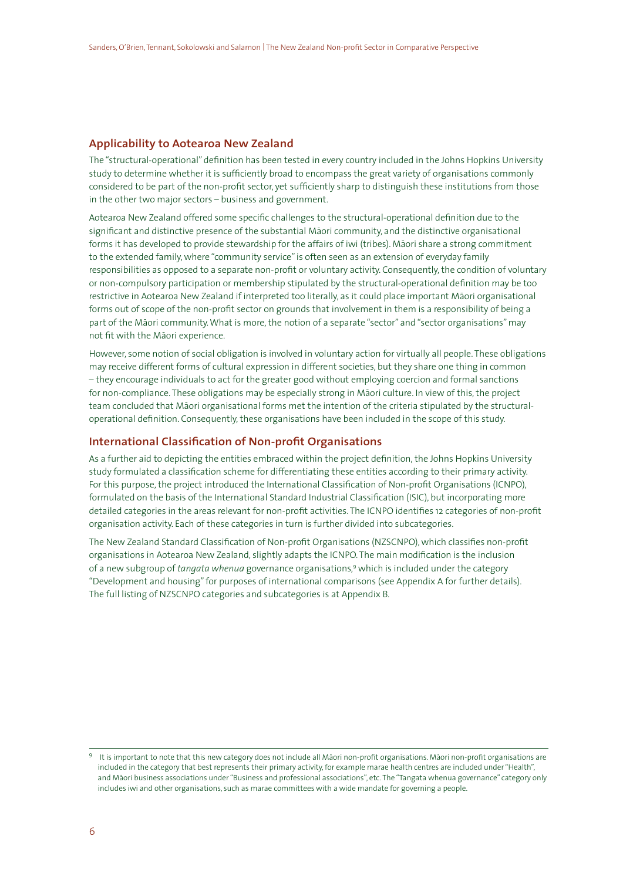# **Applicability to Aotearoa New Zealand**

The "structural-operational" definition has been tested in every country included in the Johns Hopkins University study to determine whether it is sufficiently broad to encompass the great variety of organisations commonly considered to be part of the non-profit sector, yet sufficiently sharp to distinguish these institutions from those in the other two major sectors – business and government.

Aotearoa New Zealand offered some specific challenges to the structural-operational definition due to the significant and distinctive presence of the substantial Māori community, and the distinctive organisational forms it has developed to provide stewardship for the affairs of iwi (tribes). Māori share a strong commitment to the extended family, where "community service" is often seen as an extension of everyday family responsibilities as opposed to a separate non-profit or voluntary activity. Consequently, the condition of voluntary or non-compulsory participation or membership stipulated by the structural-operational definition may be too restrictive in Aotearoa New Zealand if interpreted too literally, as it could place important Māori organisational forms out of scope of the non-profit sector on grounds that involvement in them is a responsibility of being a part of the Māori community. What is more, the notion of a separate "sector" and "sector organisations" may not fit with the Māori experience.

However, some notion of social obligation is involved in voluntary action for virtually all people. These obligations may receive different forms of cultural expression in different societies, but they share one thing in common – they encourage individuals to act for the greater good without employing coercion and formal sanctions for non-compliance. These obligations may be especially strong in Māori culture. In view of this, the project team concluded that Māori organisational forms met the intention of the criteria stipulated by the structuraloperational definition. Consequently, these organisations have been included in the scope of this study.

#### **International Classification of Non-profit Organisations**

As a further aid to depicting the entities embraced within the project definition, the Johns Hopkins University study formulated a classification scheme for differentiating these entities according to their primary activity. For this purpose, the project introduced the International Classification of Non-profit Organisations (ICNPO), formulated on the basis of the International Standard Industrial Classification (ISIC), but incorporating more detailed categories in the areas relevant for non-profit activities. The ICNPO identifies 12 categories of non-profit organisation activity. Each of these categories in turn is further divided into subcategories.

The New Zealand Standard Classification of Non-profit Organisations (NZSCNPO), which classifies non-profit organisations in Aotearoa New Zealand, slightly adapts the ICNPO. The main modification is the inclusion of a new subgroup of *tangata whenua* governance organisations,<sup>9</sup> which is included under the category "Development and housing" for purposes of international comparisons (see Appendix A for further details). The full listing of NZSCNPO categories and subcategories is at Appendix B.

It is important to note that this new category does not include all Māori non-profit organisations. Māori non-profit organisations are included in the category that best represents their primary activity, for example marae health centres are included under "Health", and Māori business associations under "Business and professional associations", etc. The "Tangata whenua governance" category only includes iwi and other organisations, such as marae committees with a wide mandate for governing a people.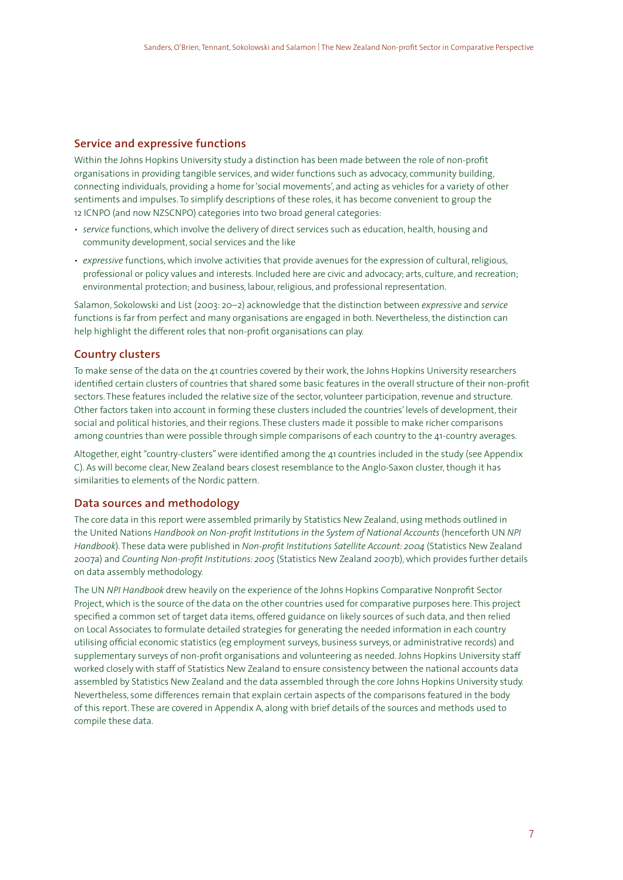# **Service and expressive functions**

Within the Johns Hopkins University study a distinction has been made between the role of non-profit organisations in providing tangible services, and wider functions such as advocacy, community building, connecting individuals, providing a home for 'social movements', and acting as vehicles for a variety of other sentiments and impulses. To simplify descriptions of these roles, it has become convenient to group the 12 ICNPO (and now NZSCNPO) categories into two broad general categories:

- *service* functions, which involve the delivery of direct services such as education, health, housing and community development, social services and the like
- *expressive* functions, which involve activities that provide avenues for the expression of cultural, religious, professional or policy values and interests. Included here are civic and advocacy; arts, culture, and recreation; environmental protection; and business, labour, religious, and professional representation.

Salamon, Sokolowski and List (2003: 20–2) acknowledge that the distinction between *expressive* and *service* functions is far from perfect and many organisations are engaged in both. Nevertheless, the distinction can help highlight the different roles that non-profit organisations can play.

### **Country clusters**

To make sense of the data on the 41 countries covered by their work, the Johns Hopkins University researchers identified certain clusters of countries that shared some basic features in the overall structure of their non-profit sectors. These features included the relative size of the sector, volunteer participation, revenue and structure. Other factors taken into account in forming these clusters included the countries' levels of development, their social and political histories, and their regions. These clusters made it possible to make richer comparisons among countries than were possible through simple comparisons of each country to the 41-country averages.

Altogether, eight "country-clusters" were identified among the 41 countries included in the study (see Appendix C). As will become clear, New Zealand bears closest resemblance to the Anglo-Saxon cluster, though it has similarities to elements of the Nordic pattern.

### **Data sources and methodology**

The core data in this report were assembled primarily by Statistics New Zealand, using methods outlined in the United Nations *Handbook on Non-profit Institutions in the System of National Accounts* (henceforth UN *NPI Handbook*). These data were published in *Non-profit Institutions Satellite Account: 2004* (Statistics New Zealand 2007a) and *Counting Non-profit Institutions: 2005* (Statistics New Zealand 2007b), which provides further details on data assembly methodology.

The UN *NPI Handbook* drew heavily on the experience of the Johns Hopkins Comparative Nonprofit Sector Project, which is the source of the data on the other countries used for comparative purposes here. This project specified a common set of target data items, offered guidance on likely sources of such data, and then relied on Local Associates to formulate detailed strategies for generating the needed information in each country utilising official economic statistics (eg employment surveys, business surveys, or administrative records) and supplementary surveys of non-profit organisations and volunteering as needed. Johns Hopkins University staff worked closely with staff of Statistics New Zealand to ensure consistency between the national accounts data assembled by Statistics New Zealand and the data assembled through the core Johns Hopkins University study. Nevertheless, some differences remain that explain certain aspects of the comparisons featured in the body of this report. These are covered in Appendix A, along with brief details of the sources and methods used to compile these data.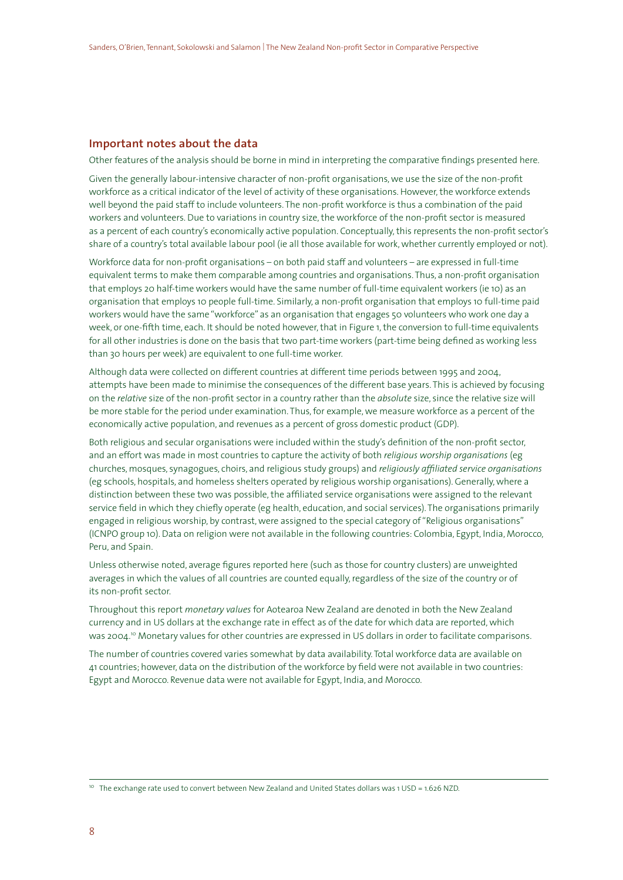# **Important notes about the data**

Other features of the analysis should be borne in mind in interpreting the comparative findings presented here.

Given the generally labour-intensive character of non-profit organisations, we use the size of the non-profit workforce as a critical indicator of the level of activity of these organisations. However, the workforce extends well beyond the paid staff to include volunteers. The non-profit workforce is thus a combination of the paid workers and volunteers. Due to variations in country size, the workforce of the non-profit sector is measured as a percent of each country's economically active population. Conceptually, this represents the non-profit sector's share of a country's total available labour pool (ie all those available for work, whether currently employed or not).

Workforce data for non-profit organisations – on both paid staff and volunteers – are expressed in full-time equivalent terms to make them comparable among countries and organisations. Thus, a non-profit organisation that employs 20 half-time workers would have the same number of full-time equivalent workers (ie 10) as an organisation that employs 10 people full-time. Similarly, a non-profit organisation that employs 10 full-time paid workers would have the same "workforce" as an organisation that engages 50 volunteers who work one day a week, or one-fifth time, each. It should be noted however, that in Figure 1, the conversion to full-time equivalents for all other industries is done on the basis that two part-time workers (part-time being defined as working less than 30 hours per week) are equivalent to one full-time worker.

Although data were collected on different countries at different time periods between 1995 and 2004, attempts have been made to minimise the consequences of the different base years. This is achieved by focusing on the *relative* size of the non-profit sector in a country rather than the *absolute* size, since the relative size will be more stable for the period under examination. Thus, for example, we measure workforce as a percent of the economically active population, and revenues as a percent of gross domestic product (GDP).

Both religious and secular organisations were included within the study's definition of the non-profit sector, and an effort was made in most countries to capture the activity of both *religious worship organisations* (eg churches, mosques, synagogues, choirs, and religious study groups) and *religiously affiliated service organisations* (eg schools, hospitals, and homeless shelters operated by religious worship organisations). Generally, where a distinction between these two was possible, the affiliated service organisations were assigned to the relevant service field in which they chiefly operate (eg health, education, and social services). The organisations primarily engaged in religious worship, by contrast, were assigned to the special category of "Religious organisations" (ICNPO group 10). Data on religion were not available in the following countries: Colombia, Egypt, India, Morocco, Peru, and Spain.

Unless otherwise noted, average figures reported here (such as those for country clusters) are unweighted averages in which the values of all countries are counted equally, regardless of the size of the country or of its non-profit sector.

Throughout this report *monetary values* for Aotearoa New Zealand are denoted in both the New Zealand currency and in US dollars at the exchange rate in effect as of the date for which data are reported, which was 2004.10 Monetary values for other countries are expressed in US dollars in order to facilitate comparisons.

The number of countries covered varies somewhat by data availability. Total workforce data are available on 41 countries; however, data on the distribution of the workforce by field were not available in two countries: Egypt and Morocco. Revenue data were not available for Egypt, India, and Morocco.

<sup>&</sup>lt;sup>10</sup> The exchange rate used to convert between New Zealand and United States dollars was 1 USD = 1.626 NZD.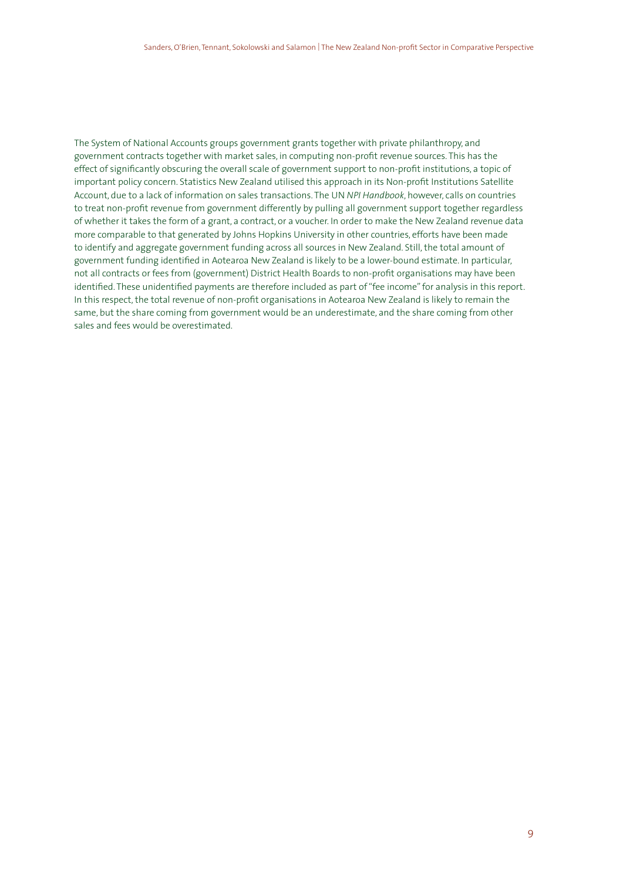The System of National Accounts groups government grants together with private philanthropy, and government contracts together with market sales, in computing non-profit revenue sources. This has the effect of significantly obscuring the overall scale of government support to non-profit institutions, a topic of important policy concern. Statistics New Zealand utilised this approach in its Non-profit Institutions Satellite Account, due to a lack of information on sales transactions. The UN *NPI Handbook*, however, calls on countries to treat non-profit revenue from government differently by pulling all government support together regardless of whether it takes the form of a grant, a contract, or a voucher. In order to make the New Zealand revenue data more comparable to that generated by Johns Hopkins University in other countries, efforts have been made to identify and aggregate government funding across all sources in New Zealand. Still, the total amount of government funding identified in Aotearoa New Zealand is likely to be a lower-bound estimate. In particular, not all contracts or fees from (government) District Health Boards to non-profit organisations may have been identified. These unidentified payments are therefore included as part of "fee income" for analysis in this report. In this respect, the total revenue of non-profit organisations in Aotearoa New Zealand is likely to remain the same, but the share coming from government would be an underestimate, and the share coming from other sales and fees would be overestimated.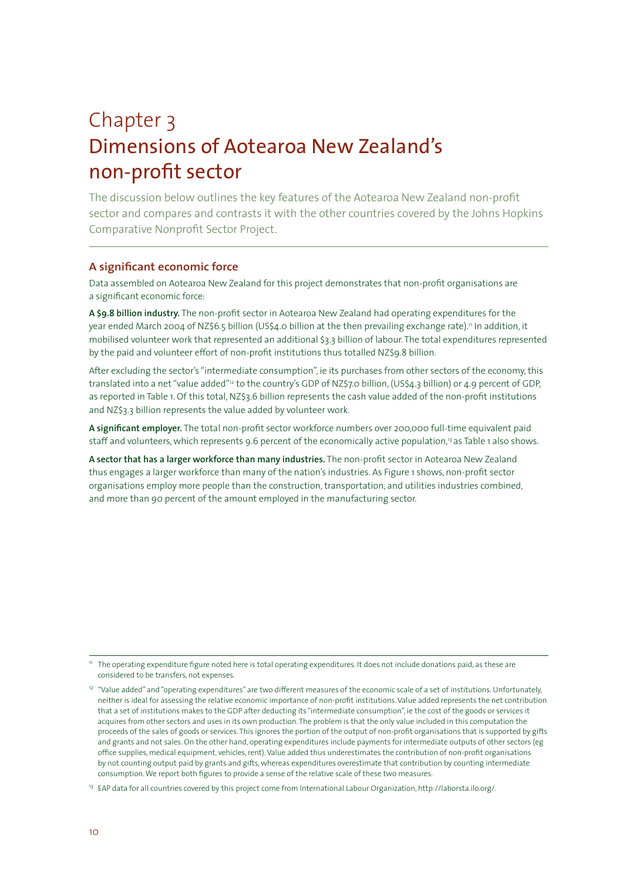# Chapter 3 Dimensions of Aotearoa New Zealand's non-profit sector

The discussion below outlines the key features of the Aotearoa New Zealand non-profit sector and compares and contrasts it with the other countries covered by the Johns Hopkins Comparative Nonprofit Sector Project.

# **A significant economic force**

Data assembled on Aotearoa New Zealand for this project demonstrates that non-profit organisations are a significant economic force:

**A \$9.8 billion industry.** The non-profit sector in Aotearoa New Zealand had operating expenditures for the year ended March 2004 of NZ\$6.5 billion (US\$4.0 billion at the then prevailing exchange rate)." In addition, it mobilised volunteer work that represented an additional \$3.3 billion of labour. The total expenditures represented by the paid and volunteer effort of non-profit institutions thus totalled NZ\$9.8 billion.

After excluding the sector's "intermediate consumption", ie its purchases from other sectors of the economy, this translated into a net "value added"12 to the country's GDP of NZ\$7.0 billion, (US\$4.3 billion) or 4.9 percent of GDP, as reported in Table 1. Of this total, NZ\$3.6 billion represents the cash value added of the non-profit institutions and NZ\$3.3 billion represents the value added by volunteer work.

**A significant employer.** The total non-profit sector workforce numbers over 200,000 full-time equivalent paid staff and volunteers, which represents 9.6 percent of the economically active population,<sup>13</sup> as Table 1 also shows.

**A sector that has a larger workforce than many industries.** The non-profit sector in Aotearoa New Zealand thus engages a larger workforce than many of the nation's industries. As Figure 1 shows, non-profit sector organisations employ more people than the construction, transportation, and utilities industries combined, and more than 90 percent of the amount employed in the manufacturing sector.

<sup>11</sup> The operating expenditure figure noted here is total operating expenditures. It does not include donations paid, as these are considered to be transfers, not expenses.

<sup>12</sup> "Value added" and "operating expenditures" are two different measures of the economic scale of a set of institutions. Unfortunately, neither is ideal for assessing the relative economic importance of non-profit institutions. Value added represents the net contribution that a set of institutions makes to the GDP after deducting its "intermediate consumption", ie the cost of the goods or services it acquires from other sectors and uses in its own production. The problem is that the only value included in this computation the proceeds of the sales of goods or services. This ignores the portion of the output of non-profit organisations that is supported by gifts and grants and not sales. On the other hand, operating expenditures include payments for intermediate outputs of other sectors (eg office supplies, medical equipment, vehicles, rent). Value added thus underestimates the contribution of non-profit organisations by not counting output paid by grants and gifts, whereas expenditures overestimate that contribution by counting intermediate consumption. We report both figures to provide a sense of the relative scale of these two measures.

<sup>13</sup> EAP data for all countries covered by this project come from International Labour Organization, http://laborsta.ilo.org/.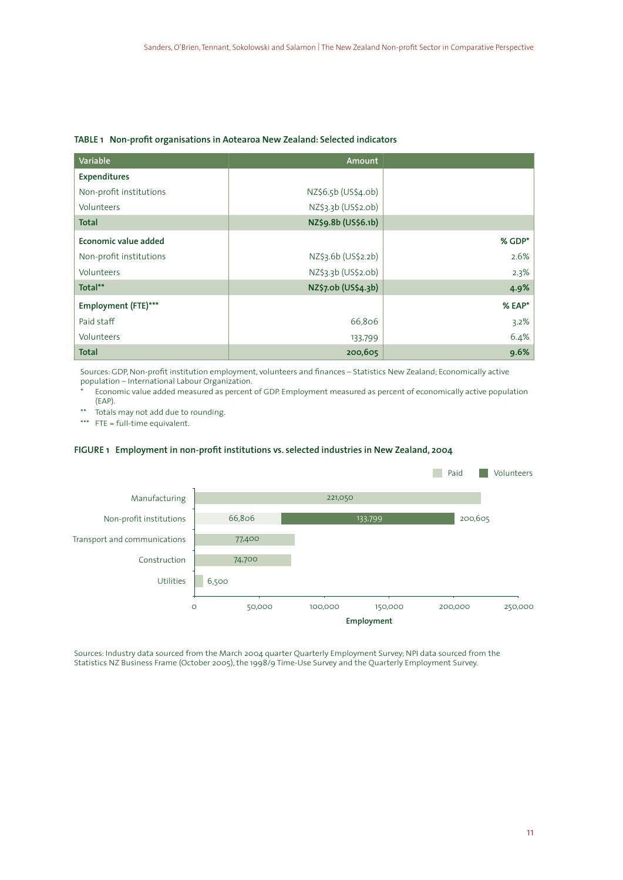#### **TABLE 1 Non-profit organisations in Aotearoa New Zealand: Selected indicators**

| Variable                | Amount              |        |
|-------------------------|---------------------|--------|
| Expenditures            |                     |        |
| Non-profit institutions | NZ\$6.5b (US\$4.0b) |        |
| Volunteers              | NZ\$3.3b (US\$2.0b) |        |
| <b>Total</b>            | NZ\$9.8b (US\$6.1b) |        |
| Economic value added    |                     | % GDP* |
| Non-profit institutions | NZ\$3.6b (US\$2.2b) | 2.6%   |
| Volunteers              | NZ\$3.3b (US\$2.0b) | 2.3%   |
| Total**                 | NZ\$7.0b (US\$4.3b) | 4.9%   |
| Employment (FTE)***     |                     | % EAP* |
| Paid staff              | 66,806              | 3.2%   |
| Volunteers              | 133,799             | 6.4%   |
| <b>Total</b>            | 200,605             | 9.6%   |

Sources: GDP, Non-profit institution employment, volunteers and finances – Statistics New Zealand; Economically active population – International Labour Organization.

Economic value added measured as percent of GDP. Employment measured as percent of economically active population (EAP).

\*\* Totals may not add due to rounding.<br>\*\*\*  $FTE = full-time equivalent.$ 

 $FTE = full-time equivalent.$ 

#### **FIGURE 1 Employment in non-profit institutions vs. selected industries in New Zealand, 2004**



Sources: Industry data sourced from the March 2004 quarter Quarterly Employment Survey; NPI data sourced from the Statistics NZ Business Frame (October 2005), the 1998/9 Time-Use Survey and the Quarterly Employment Survey.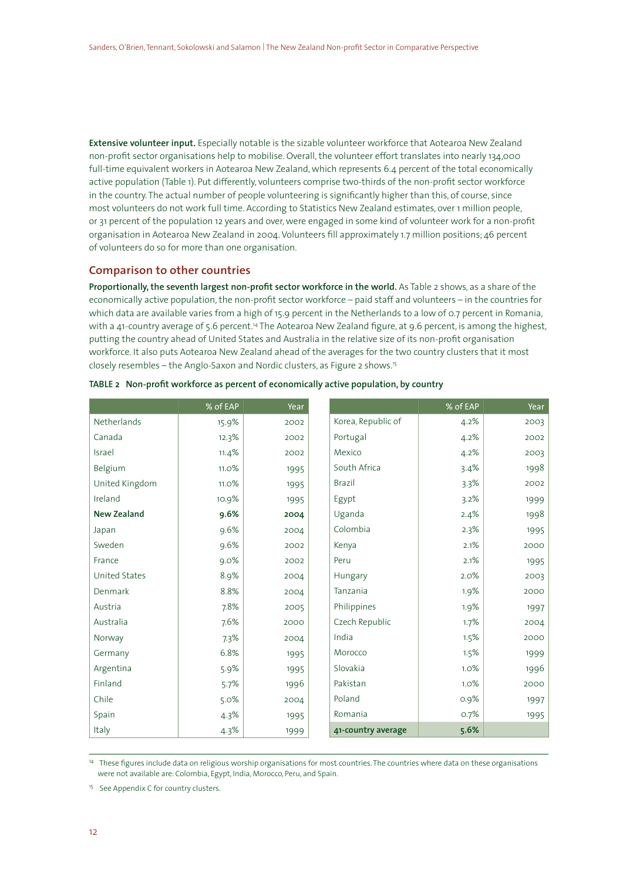**Extensive volunteer input.** Especially notable is the sizable volunteer workforce that Aotearoa New Zealand non-profit sector organisations help to mobilise. Overall, the volunteer effort translates into nearly 134,000 full-time equivalent workers in Aotearoa New Zealand, which represents 6.4 percent of the total economically active population (Table 1). Put differently, volunteers comprise two-thirds of the non-profit sector workforce in the country. The actual number of people volunteering is significantly higher than this, of course, since most volunteers do not work full time. According to Statistics New Zealand estimates, over 1 million people, or 31 percent of the population 12 years and over, were engaged in some kind of volunteer work for a non-profit organisation in Aotearoa New Zealand in 2004. Volunteers fill approximately 1.7 million positions; 46 percent of volunteers do so for more than one organisation.

### **Comparison to other countries**

**Proportionally, the seventh largest non-profit sector workforce in the world.** As Table 2 shows, as a share of the economically active population, the non-profit sector workforce – paid staff and volunteers – in the countries for which data are available varies from a high of 15.9 percent in the Netherlands to a low of 0.7 percent in Romania, with a 41-country average of 5.6 percent.14 The Aotearoa New Zealand figure, at 9.6 percent, is among the highest, putting the country ahead of United States and Australia in the relative size of its non-profit organisation workforce. It also puts Aotearoa New Zealand ahead of the averages for the two country clusters that it most closely resembles – the Anglo-Saxon and Nordic clusters, as Figure 2 shows.15

|                      | % of EAP | Year |                    | % of EAP | Year |
|----------------------|----------|------|--------------------|----------|------|
| Netherlands          | 15.9%    | 2002 | Korea, Republic of | 4.2%     | 2003 |
| Canada               | 12.3%    | 2002 | Portugal           | 4.2%     | 2002 |
| Israel               | 11.4%    | 2002 | Mexico             | 4.2%     | 2003 |
| Belgium              | 11.0%    | 1995 | South Africa       | 3.4%     | 1998 |
| United Kingdom       | 11.0%    | 1995 | <b>Brazil</b>      | 3.3%     | 2002 |
| Ireland              | 10.9%    | 1995 | Egypt              | 3.2%     | 1999 |
| <b>New Zealand</b>   | 9.6%     | 2004 | Uganda             | 2.4%     | 1998 |
| Japan                | 9.6%     | 2004 | Colombia           | 2.3%     | 1995 |
| Sweden               | 9.6%     | 2002 | Kenya              | 2.1%     | 2000 |
| France               | 9.0%     | 2002 | Peru               | 2.1%     | 1995 |
| <b>United States</b> | 8.9%     | 2004 | Hungary            | 2.0%     | 2003 |
| Denmark              | 8.8%     | 2004 | Tanzania           | 1.9%     | 2000 |
| Austria              | 7.8%     | 2005 | Philippines        | 1.9%     | 1997 |
| Australia            | 7.6%     | 2000 | Czech Republic     | 1.7%     | 2004 |
| Norway               | 7.3%     | 2004 | India              | 1.5%     | 2000 |
| Germany              | 6.8%     | 1995 | Morocco            | 1.5%     | 1999 |
| Argentina            | 5.9%     | 1995 | Slovakia           | 1.0%     | 1996 |
| Finland              | 5.7%     | 1996 | Pakistan           | 1.0%     | 2000 |
| Chile                | 5.0%     | 2004 | Poland             | 0.9%     | 1997 |
| Spain                | 4.3%     | 1995 | Romania            | 0.7%     | 1995 |
| Italy                | 4.3%     | 1999 | 41-country average | 5.6%     |      |

**TABLE 2 Non-profit workforce as percent of economically active population, by country**

<sup>14</sup> These figures include data on religious worship organisations for most countries. The countries where data on these organisations were not available are: Colombia, Egypt, India, Morocco, Peru, and Spain.

<sup>15</sup> See Appendix C for country clusters.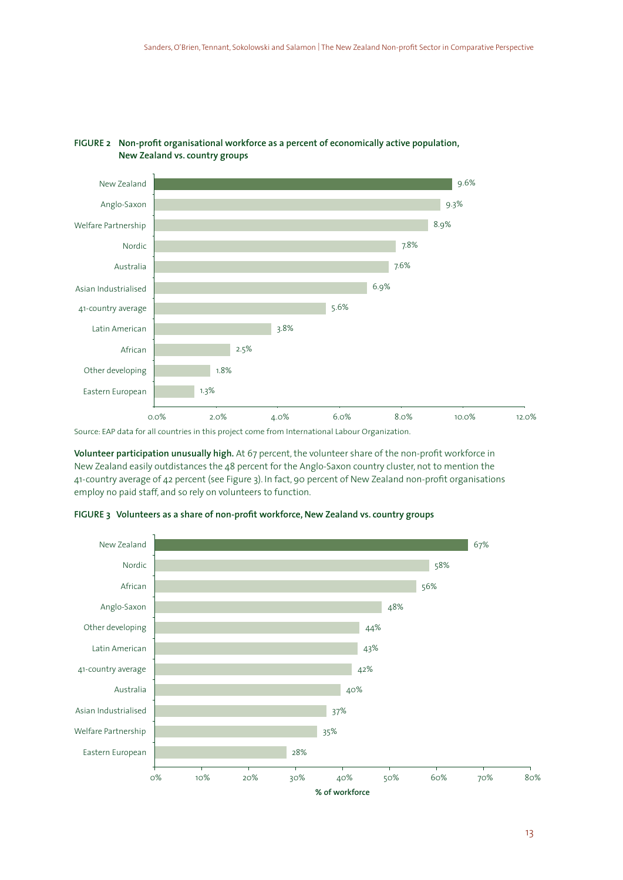

### **FIGURE 2 Non-profit organisational workforce as a percent of economically active population, New Zealand vs. country groups**

Source: EAP data for all countries in this project come from International Labour Organization.

**Volunteer participation unusually high.** At 67 percent, the volunteer share of the non-profit workforce in New Zealand easily outdistances the 48 percent for the Anglo-Saxon country cluster, not to mention the 41-country average of 42 percent (see Figure 3). In fact, 90 percent of New Zealand non-profit organisations employ no paid staff, and so rely on volunteers to function.



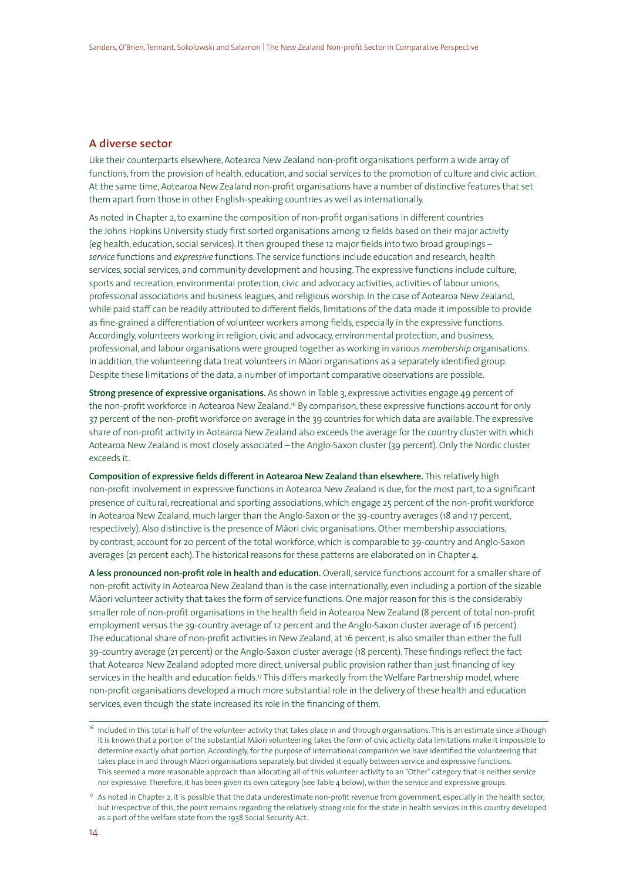### **A diverse sector**

Like their counterparts elsewhere, Aotearoa New Zealand non-profit organisations perform a wide array of functions, from the provision of health, education, and social services to the promotion of culture and civic action. At the same time, Aotearoa New Zealand non-profit organisations have a number of distinctive features that set them apart from those in other English-speaking countries as well as internationally.

As noted in Chapter 2, to examine the composition of non-profit organisations in different countries the Johns Hopkins University study first sorted organisations among 12 fields based on their major activity (eg health, education, social services). It then grouped these 12 major fields into two broad groupings – *service* functions and *expressive* functions. The service functions include education and research, health services, social services, and community development and housing. The expressive functions include culture, sports and recreation, environmental protection, civic and advocacy activities, activities of labour unions, professional associations and business leagues, and religious worship. In the case of Aotearoa New Zealand, while paid staff can be readily attributed to different fields, limitations of the data made it impossible to provide as fine-grained a differentiation of volunteer workers among fields, especially in the expressive functions. Accordingly, volunteers working in religion, civic and advocacy, environmental protection, and business, professional, and labour organisations were grouped together as working in various *membership* organisations. In addition, the volunteering data treat volunteers in Māori organisations as a separately identified group. Despite these limitations of the data, a number of important comparative observations are possible.

**Strong presence of expressive organisations.** As shown in Table 3, expressive activities engage 49 percent of the non-profit workforce in Aotearoa New Zealand.<sup>16</sup> By comparison, these expressive functions account for only 37 percent of the non-profit workforce on average in the 39 countries for which data are available. The expressive share of non-profit activity in Aotearoa New Zealand also exceeds the average for the country cluster with which Aotearoa New Zealand is most closely associated – the Anglo-Saxon cluster (39 percent). Only the Nordic cluster exceeds it.

**Composition of expressive fields different in Aotearoa New Zealand than elsewhere.** This relatively high non-profit involvement in expressive functions in Aotearoa New Zealand is due, for the most part, to a significant presence of cultural, recreational and sporting associations, which engage 25 percent of the non-profit workforce in Aotearoa New Zealand, much larger than the Anglo-Saxon or the 39-country averages (18 and 17 percent, respectively). Also distinctive is the presence of Māori civic organisations. Other membership associations, by contrast, account for 20 percent of the total workforce, which is comparable to 39-country and Anglo-Saxon averages (21 percent each). The historical reasons for these patterns are elaborated on in Chapter 4.

**A less pronounced non-profit role in health and education.** Overall, service functions account for a smaller share of non-profit activity in Aotearoa New Zealand than is the case internationally, even including a portion of the sizable Māori volunteer activity that takes the form of service functions. One major reason for this is the considerably smaller role of non-profit organisations in the health field in Aotearoa New Zealand (8 percent of total non-profit employment versus the 39-country average of 12 percent and the Anglo-Saxon cluster average of 16 percent). The educational share of non-profit activities in New Zealand, at 16 percent, is also smaller than either the full 39-country average (21 percent) or the Anglo-Saxon cluster average (18 percent). These findings reflect the fact that Aotearoa New Zealand adopted more direct, universal public provision rather than just financing of key services in the health and education fields.<sup>17</sup> This differs markedly from the Welfare Partnership model, where non-profit organisations developed a much more substantial role in the delivery of these health and education services, even though the state increased its role in the financing of them.

<sup>&</sup>lt;sup>16</sup> Included in this total is half of the volunteer activity that takes place in and through organisations. This is an estimate since although it is known that a portion of the substantial Māori volunteering takes the form of civic activity, data limitations make it impossible to determine exactly what portion. Accordingly, for the purpose of international comparison we have identified the volunteering that takes place in and through Māori organisations separately, but divided it equally between service and expressive functions. This seemed a more reasonable approach than allocating all of this volunteer activity to an "Other" category that is neither service nor expressive. Therefore, it has been given its own category (see Table 4 below), within the service and expressive groups.

<sup>&</sup>lt;sup>17</sup> As noted in Chapter 2, it is possible that the data underestimate non-profit revenue from government, especially in the health sector, but irrespective of this, the point remains regarding the relatively strong role for the state in health services in this country developed as a part of the welfare state from the 1938 Social Security Act.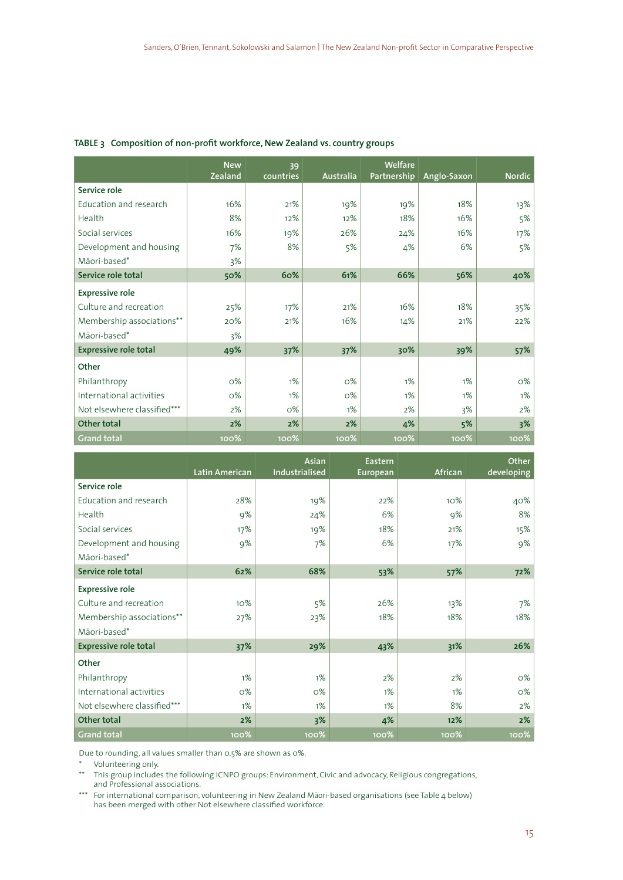|                              | <b>New</b> | 39        |                  | Welfare     |             |               |
|------------------------------|------------|-----------|------------------|-------------|-------------|---------------|
|                              | Zealand    | countries | Australia        | Partnership | Anglo-Saxon | <b>Nordic</b> |
| Service role                 |            |           |                  |             |             |               |
| Education and research       | 16%        | 21%       | 19%              | 19%         | 18%         | 13%           |
| Health                       | 8%         | 12%       | 12%              | 18%         | 16%         | 5%            |
| Social services              | 16%        | 19%       | 26%              | 24%         | 16%         | 17%           |
| Development and housing      | 7%         | 8%        | 5%               | 4%          | 6%          | 5%            |
| Māori-based*                 | 3%         |           |                  |             |             |               |
| Service role total           | 50%        | 60%       | 61%              | 66%         | 56%         | 40%           |
| <b>Expressive role</b>       |            |           |                  |             |             |               |
| Culture and recreation       | 25%        | 17%       | 21%              | 16%         | 18%         | 35%           |
| Membership associations**    | 20%        | 21%       | 16%              | 14%         | 21%         | 22%           |
| Māori-based*                 | 3%         |           |                  |             |             |               |
| <b>Expressive role total</b> | 49%        | 37%       | 37%              | 30%         | 39%         | 57%           |
| Other                        |            |           |                  |             |             |               |
| Philanthropy                 | $O\%$      | 1%        | $O\%$            | 1%          | 1%          | $O\%$         |
| International activities     | $O\%$      | 1%        | $O\%$            | 1%          | 1%          | 1%            |
| Not elsewhere classified***  | 2%         | O%        | 1%               | 2%          | 3%          | 2%            |
| Other total                  | 2%         | 2%        | 2%               | 4%          | 5%          | 3%            |
| <b>Grand total</b>           | $100\%$    | 100%      | 100 <sup>%</sup> | $100\%$     | $100\%$     | 100%          |

#### **TABLE 3 Composition of non-profit workforce, New Zealand vs. country groups**

|                              |                | <b>Asian</b>   | Eastern  |         | Other      |
|------------------------------|----------------|----------------|----------|---------|------------|
|                              | Latin American | Industrialised | European | African | developing |
| Service role                 |                |                |          |         |            |
| Education and research       | 28%            | 19%            | 22%      | 10%     | 40%        |
| Health                       | 9%             | 24%            | 6%       | 9%      | 8%         |
| Social services              | 17%            | 19%            | 18%      | 21%     | 15%        |
| Development and housing      | 9%             | 7%             | 6%       | 17%     | 9%         |
| Māori-based*                 |                |                |          |         |            |
| Service role total           | 62%            | 68%            | 53%      | 57%     | 72%        |
| <b>Expressive role</b>       |                |                |          |         |            |
| Culture and recreation       | 10%            | 5%             | 26%      | 13%     | 7%         |
| Membership associations**    | 27%            | 23%            | 18%      | 18%     | 18%        |
| Māori-based*                 |                |                |          |         |            |
| <b>Expressive role total</b> | 37%            | 29%            | 43%      | 31%     | 26%        |
| Other                        |                |                |          |         |            |
| Philanthropy                 | 1%             | 1%             | 2%       | 2%      | O%         |
| International activities     | O%             | O%             | 1%       | 1%      | о%         |
| Not elsewhere classified***  | 1%             | 1%             | $1\%$    | 8%      | 2%         |
| Other total                  | 2%             | 3%             | 4%       | 12%     | 2%         |
| <b>Grand total</b>           | 100%           | 100%           | 100%     | 100%    | 100%       |

Due to rounding, all values smaller than 0.5% are shown as 0%.

\* Volunteering only.

\*\* This group includes the following ICNPO groups: Environment, Civic and advocacy, Religious congregations, and Professional associations.

\*\*\* For international comparison, volunteering in New Zealand M¯aori-based organisations (see Table 4 below) has been merged with other Not elsewhere classified workforce.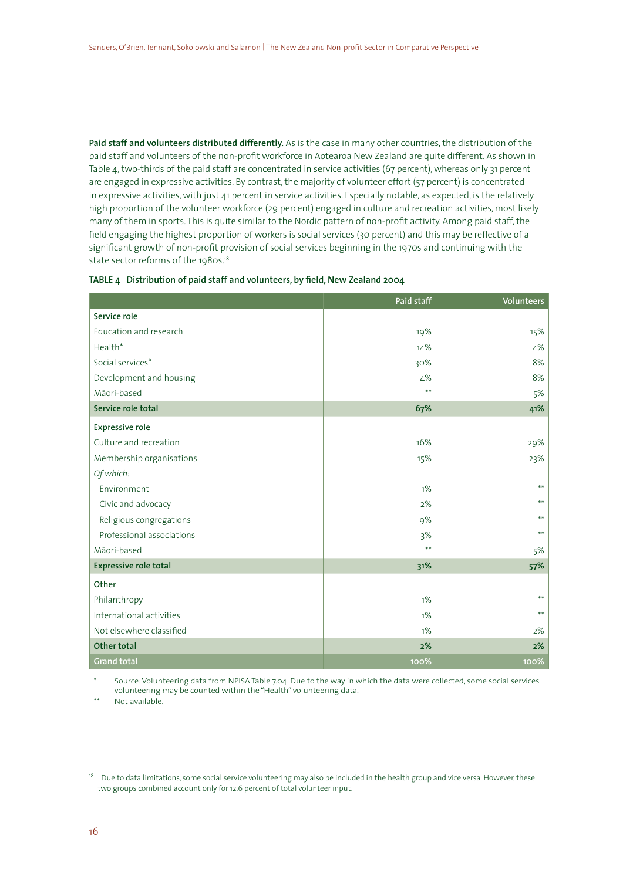**Paid staff and volunteers distributed differently.** As is the case in many other countries, the distribution of the paid staff and volunteers of the non-profit workforce in Aotearoa New Zealand are quite different. As shown in Table 4, two-thirds of the paid staff are concentrated in service activities (67 percent), whereas only 31 percent are engaged in expressive activities. By contrast, the majority of volunteer effort (57 percent) is concentrated in expressive activities, with just 41 percent in service activities. Especially notable, as expected, is the relatively high proportion of the volunteer workforce (29 percent) engaged in culture and recreation activities, most likely many of them in sports. This is quite similar to the Nordic pattern of non-profit activity. Among paid staff, the field engaging the highest proportion of workers is social services (30 percent) and this may be reflective of a significant growth of non-profit provision of social services beginning in the 1970s and continuing with the state sector reforms of the 1980s.<sup>18</sup>

|                              | Paid staff | <b>Volunteers</b> |
|------------------------------|------------|-------------------|
| Service role                 |            |                   |
| Education and research       | 19%        | 15%               |
| Health <sup>*</sup>          | 14%        | 4%                |
| Social services*             | 30%        | 8%                |
| Development and housing      | 4%         | 8%                |
| Māori-based                  | **         | 5%                |
| Service role total           | 67%        | 41%               |
| Expressive role              |            |                   |
| Culture and recreation       | 16%        | 29%               |
| Membership organisations     | 15%        | 23%               |
| Of which:                    |            |                   |
| Environment                  | 1%         | **                |
| Civic and advocacy           | 2%         | **                |
| Religious congregations      | 9%         | **                |
| Professional associations    | 3%         | $***$             |
| Māori-based                  | $***$      | 5%                |
| <b>Expressive role total</b> | 31%        | 57%               |
| Other                        |            |                   |
| Philanthropy                 | 1%         | **                |
| International activities     | 1%         | **                |
| Not elsewhere classified     | 1%         | 2%                |
| Other total                  | 2%         | 2%                |
| <b>Grand total</b>           | 100%       | 100%              |

|  |  | TABLE 4   Distribution of paid staff and volunteers, by field, New Zealand 2004 |  |  |  |  |
|--|--|---------------------------------------------------------------------------------|--|--|--|--|
|--|--|---------------------------------------------------------------------------------|--|--|--|--|

Source: Volunteering data from NPISA Table 7.04. Due to the way in which the data were collected, some social services volunteering may be counted within the "Health" volunteering data.

Not available.

<sup>&</sup>lt;sup>18</sup> Due to data limitations, some social service volunteering may also be included in the health group and vice versa. However, these two groups combined account only for 12.6 percent of total volunteer input.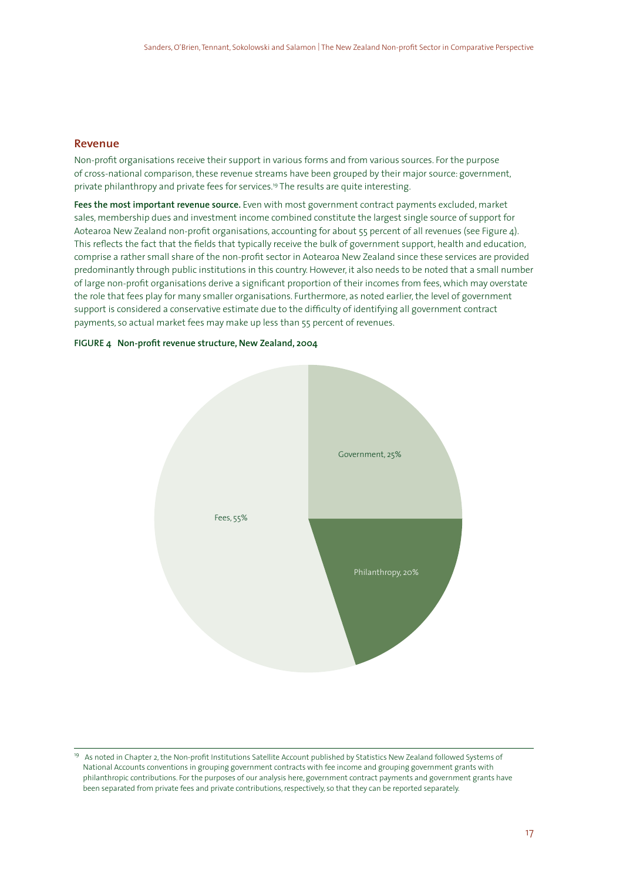### **Revenue**

Non-profit organisations receive their support in various forms and from various sources. For the purpose of cross-national comparison, these revenue streams have been grouped by their major source: government, private philanthropy and private fees for services.<sup>19</sup> The results are quite interesting.

**Fees the most important revenue source.** Even with most government contract payments excluded, market sales, membership dues and investment income combined constitute the largest single source of support for Aotearoa New Zealand non-profit organisations, accounting for about 55 percent of all revenues (see Figure 4). This reflects the fact that the fields that typically receive the bulk of government support, health and education, comprise a rather small share of the non-profit sector in Aotearoa New Zealand since these services are provided predominantly through public institutions in this country. However, it also needs to be noted that a small number of large non-profit organisations derive a significant proportion of their incomes from fees, which may overstate the role that fees play for many smaller organisations. Furthermore, as noted earlier, the level of government support is considered a conservative estimate due to the difficulty of identifying all government contract payments, so actual market fees may make up less than 55 percent of revenues.

#### **FIGURE 4 Non-profit revenue structure, New Zealand, 2004**



<sup>&</sup>lt;sup>19</sup> As noted in Chapter 2, the Non-profit Institutions Satellite Account published by Statistics New Zealand followed Systems of National Accounts conventions in grouping government contracts with fee income and grouping government grants with philanthropic contributions. For the purposes of our analysis here, government contract payments and government grants have been separated from private fees and private contributions, respectively, so that they can be reported separately.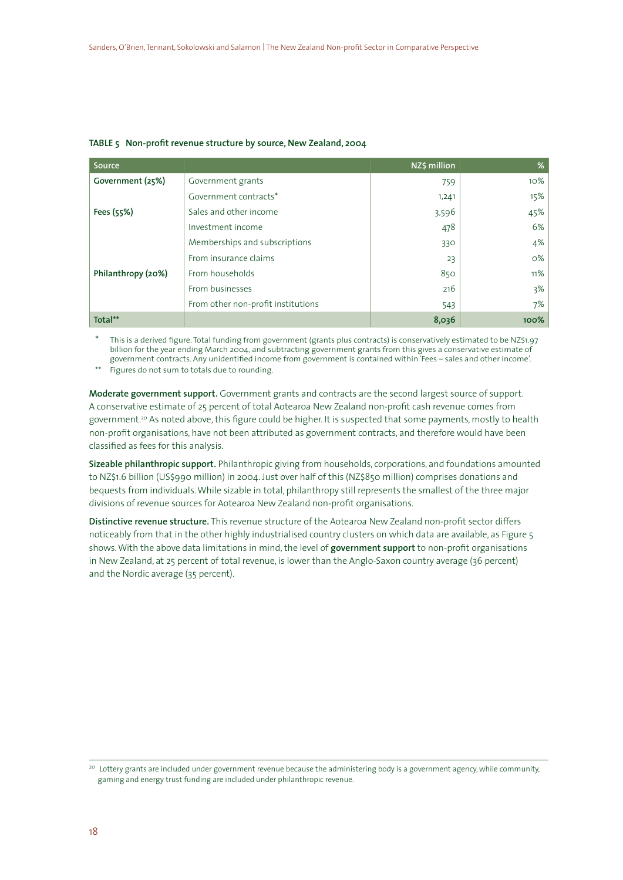| Source             |                                    | NZ\$ million | %     |
|--------------------|------------------------------------|--------------|-------|
| Government (25%)   | Government grants                  | 759          | 10%   |
|                    | Government contracts*              | 1,241        | 15%   |
| Fees (55%)         | Sales and other income             | 3,596        | 45%   |
|                    | Investment income                  | 478          | 6%    |
|                    | Memberships and subscriptions      | 330          | 4%    |
|                    | From insurance claims              | 23           | $O\%$ |
| Philanthropy (20%) | From households                    | 850          | 11%   |
|                    | From businesses                    | 216          | 3%    |
|                    | From other non-profit institutions | 543          | 7%    |
| Total**            |                                    | 8,036        | 100%  |

#### **TABLE 5 Non-profit revenue structure by source, New Zealand, 2004**

This is a derived figure. Total funding from government (grants plus contracts) is conservatively estimated to be NZ\$1.97 billion for the year ending March 2004, and subtracting government grants from this gives a conservative estimate of government contracts. Any unidentified income from government is contained within 'Fees – sales and other income'.

\*\* Figures do not sum to totals due to rounding.

**Moderate government support.** Government grants and contracts are the second largest source of support. A conservative estimate of 25 percent of total Aotearoa New Zealand non-profit cash revenue comes from government.20 As noted above, this figure could be higher. It is suspected that some payments, mostly to health non-profit organisations, have not been attributed as government contracts, and therefore would have been classified as fees for this analysis.

**Sizeable philanthropic support.** Philanthropic giving from households, corporations, and foundations amounted to NZ\$1.6 billion (US\$990 million) in 2004. Just over half of this (NZ\$850 million) comprises donations and bequests from individuals. While sizable in total, philanthropy still represents the smallest of the three major divisions of revenue sources for Aotearoa New Zealand non-profit organisations.

**Distinctive revenue structure.** This revenue structure of the Aotearoa New Zealand non-profit sector differs noticeably from that in the other highly industrialised country clusters on which data are available, as Figure 5 shows. With the above data limitations in mind, the level of **government support** to non-profit organisations in New Zealand, at 25 percent of total revenue, is lower than the Anglo-Saxon country average (36 percent) and the Nordic average (35 percent).

<sup>&</sup>lt;sup>20</sup> Lottery grants are included under government revenue because the administering body is a government agency, while community, gaming and energy trust funding are included under philanthropic revenue.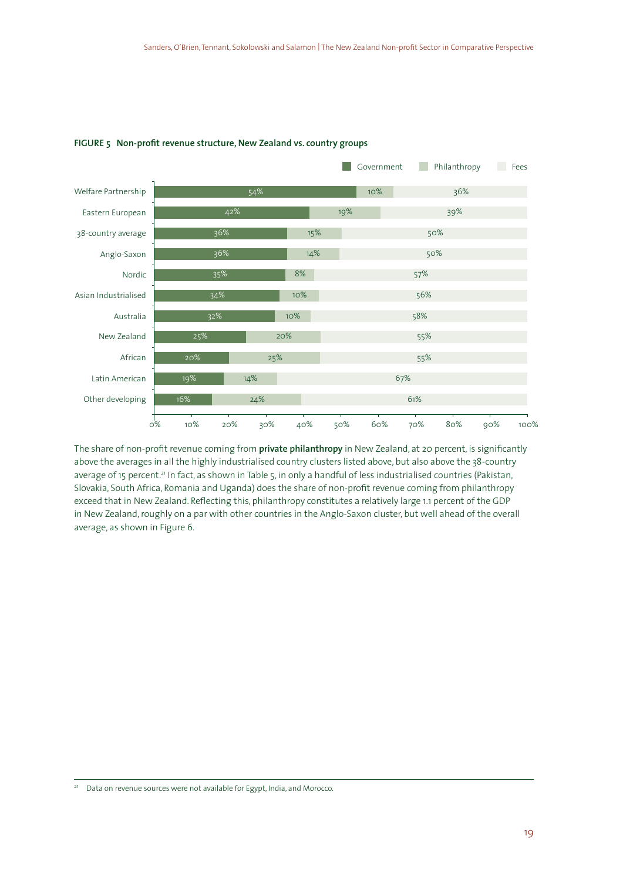

#### **FIGURE 5 Non-profit revenue structure, New Zealand vs. country groups**

The share of non-profit revenue coming from **private philanthropy** in New Zealand, at 20 percent, is significantly above the averages in all the highly industrialised country clusters listed above, but also above the 38-country average of 15 percent.<sup>21</sup> In fact, as shown in Table 5, in only a handful of less industrialised countries (Pakistan, Slovakia, South Africa, Romania and Uganda) does the share of non-profit revenue coming from philanthropy exceed that in New Zealand. Reflecting this, philanthropy constitutes a relatively large 1.1 percent of the GDP in New Zealand, roughly on a par with other countries in the Anglo-Saxon cluster, but well ahead of the overall average, as shown in Figure 6.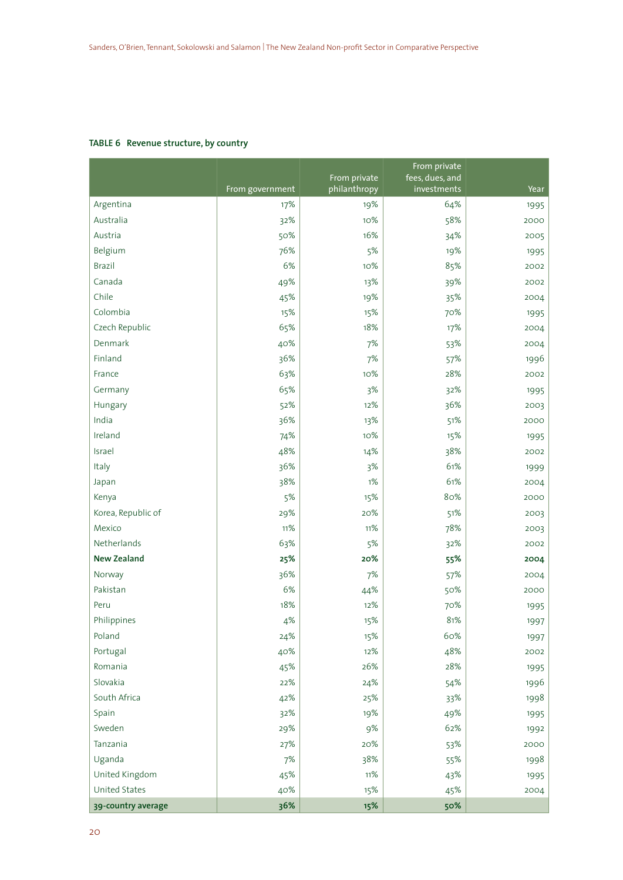### **TABLE 6 Revenue structure, by country**

|                    |                 | From private | From private<br>fees, dues, and |      |
|--------------------|-----------------|--------------|---------------------------------|------|
|                    | From government | philanthropy | investments                     | Year |
| Argentina          | 17%             | 19%          | 64%                             | 1995 |
| Australia          | 32%             | 10%          | 58%                             | 2000 |
| Austria            | 50%             | 16%          | 34%                             | 2005 |
| Belgium            | 76%             | 5%           | 19%                             | 1995 |
| Brazil             | 6%              | 10%          | 85%                             | 2002 |
| Canada             | 49%             | 13%          | 39%                             | 2002 |
| Chile              | 45%             | 19%          | 35%                             | 2004 |
| Colombia           | 15%             | 15%          | 70%                             | 1995 |
| Czech Republic     | 65%             | 18%          | 17%                             | 2004 |
| Denmark            | 40%             | 7%           | 53%                             | 2004 |
| Finland            | 36%             | 7%           | 57%                             | 1996 |
| France             | 63%             | 10%          | 28%                             | 2002 |
| Germany            | 65%             | 3%           | 32%                             | 1995 |
| Hungary            | 52%             | 12%          | 36%                             | 2003 |
| India              | 36%             | 13%          | 51%                             | 2000 |
| Ireland            | 74%             | 10%          | 15%                             | 1995 |
| Israel             | 48%             | 14%          | 38%                             | 2002 |
| Italy              | 36%             | 3%           | 61%                             | 1999 |
| Japan              | 38%             | 1%           | 61%                             | 2004 |
| Kenya              | 5%              | 15%          | 80%                             | 2000 |
| Korea, Republic of | 29%             | 20%          | 51%                             | 2003 |
| Mexico             | 11%             | 11%          | 78%                             | 2003 |
| Netherlands        | 63%             | 5%           | 32%                             | 2002 |
| <b>New Zealand</b> | 25%             | 20%          | 55%                             | 2004 |
| Norway             | 36%             | 7%           | 57%                             | 2004 |
| Pakistan           | 6%              | 44%          | 50%                             | 2000 |
| Peru               | 18%             | 12%          | 70%                             | 1995 |
| Philippines        | 4%              | 15%          | 81%                             | 1997 |
| Poland             | 24%             | 15%          | 60%                             | 1997 |
| Portugal           | 40%             | 12%          | 48%                             | 2002 |
| Romania            | 45%             | 26%          | 28%                             | 1995 |
| Slovakia           | 22%             | 24%          | 54%                             | 1996 |
| South Africa       | 42%             | 25%          | 33%                             | 1998 |
| Spain              | 32%             | 19%          | 49%                             | 1995 |
| Sweden             | 29%             | 9%           | 62%                             | 1992 |
| Tanzania           | 27%             | 20%          | 53%                             | 2000 |
| Uganda             | $7%$            | 38%          | 55%                             | 1998 |
| United Kingdom     | 45%             | 11%          | 43%                             | 1995 |
| United States      | 40%             | 15%          | 45%                             | 2004 |
| 39-country average | 36%             | 15%          | 50%                             |      |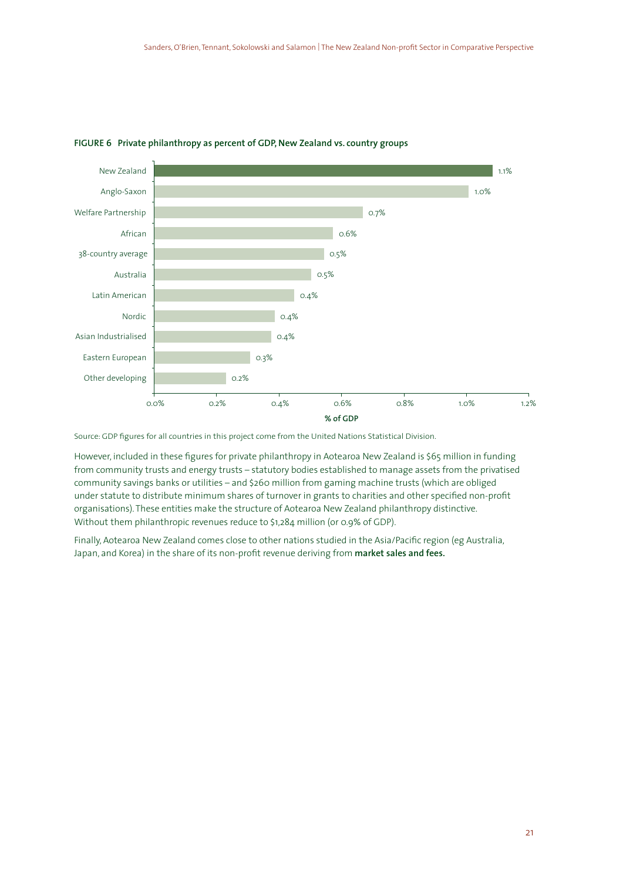

#### **FIGURE 6 Private philanthropy as percent of GDP, New Zealand vs. country groups**

Source: GDP figures for all countries in this project come from the United Nations Statistical Division.

However, included in these figures for private philanthropy in Aotearoa New Zealand is \$65 million in funding from community trusts and energy trusts – statutory bodies established to manage assets from the privatised community savings banks or utilities – and \$260 million from gaming machine trusts (which are obliged under statute to distribute minimum shares of turnover in grants to charities and other specified non-profit organisations). These entities make the structure of Aotearoa New Zealand philanthropy distinctive. Without them philanthropic revenues reduce to \$1,284 million (or 0.9% of GDP).

Finally, Aotearoa New Zealand comes close to other nations studied in the Asia/Pacific region (eg Australia, Japan, and Korea) in the share of its non-profit revenue deriving from **market sales and fees.**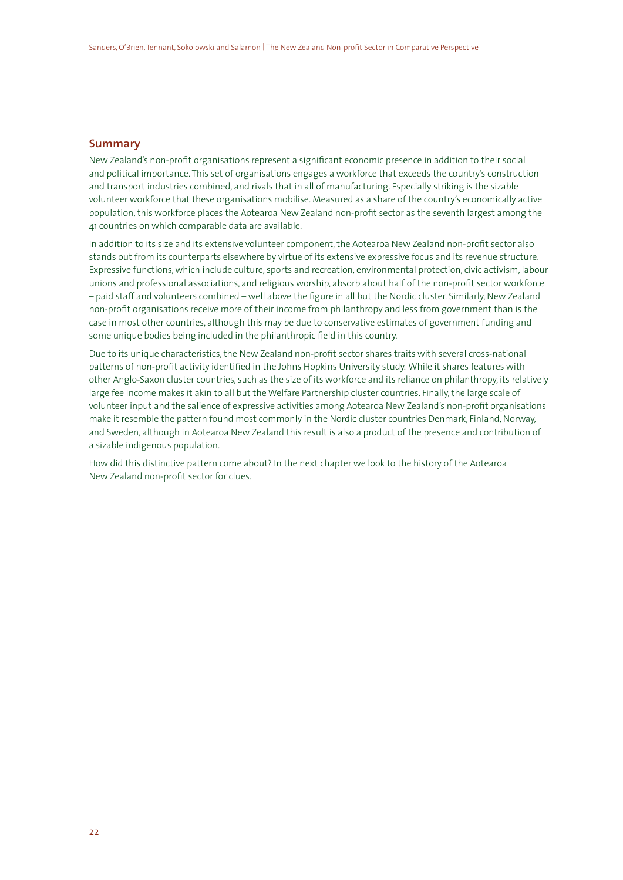### **Summary**

New Zealand's non-profit organisations represent a significant economic presence in addition to their social and political importance. This set of organisations engages a workforce that exceeds the country's construction and transport industries combined, and rivals that in all of manufacturing. Especially striking is the sizable volunteer workforce that these organisations mobilise. Measured as a share of the country's economically active population, this workforce places the Aotearoa New Zealand non-profit sector as the seventh largest among the 41 countries on which comparable data are available.

In addition to its size and its extensive volunteer component, the Aotearoa New Zealand non-profit sector also stands out from its counterparts elsewhere by virtue of its extensive expressive focus and its revenue structure. Expressive functions, which include culture, sports and recreation, environmental protection, civic activism, labour unions and professional associations, and religious worship, absorb about half of the non-profit sector workforce – paid staff and volunteers combined – well above the figure in all but the Nordic cluster. Similarly, New Zealand non-profit organisations receive more of their income from philanthropy and less from government than is the case in most other countries, although this may be due to conservative estimates of government funding and some unique bodies being included in the philanthropic field in this country.

Due to its unique characteristics, the New Zealand non-profit sector shares traits with several cross-national patterns of non-profit activity identified in the Johns Hopkins University study. While it shares features with other Anglo-Saxon cluster countries, such as the size of its workforce and its reliance on philanthropy, its relatively large fee income makes it akin to all but the Welfare Partnership cluster countries. Finally, the large scale of volunteer input and the salience of expressive activities among Aotearoa New Zealand's non-profit organisations make it resemble the pattern found most commonly in the Nordic cluster countries Denmark, Finland, Norway, and Sweden, although in Aotearoa New Zealand this result is also a product of the presence and contribution of a sizable indigenous population.

How did this distinctive pattern come about? In the next chapter we look to the history of the Aotearoa New Zealand non-profit sector for clues.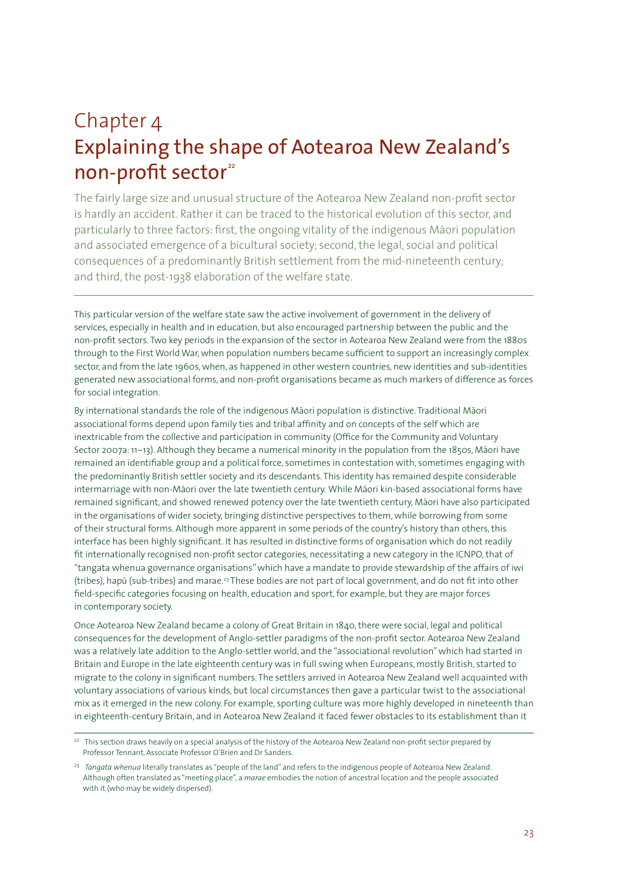# Chapter 4 Explaining the shape of Aotearoa New Zealand's non-profit sector<sup>22</sup>

The fairly large size and unusual structure of the Aotearoa New Zealand non-profit sector is hardly an accident. Rather it can be traced to the historical evolution of this sector, and particularly to three factors: first, the ongoing vitality of the indigenous Māori population and associated emergence of a bicultural society; second, the legal, social and political consequences of a predominantly British settlement from the mid-nineteenth century; and third, the post-1938 elaboration of the welfare state.

This particular version of the welfare state saw the active involvement of government in the delivery of services, especially in health and in education, but also encouraged partnership between the public and the non-profit sectors. Two key periods in the expansion of the sector in Aotearoa New Zealand were from the 1880s through to the First World War, when population numbers became sufficient to support an increasingly complex sector, and from the late 1960s, when, as happened in other western countries, new identities and sub-identities generated new associational forms, and non-profit organisations became as much markers of difference as forces for social integration.

By international standards the role of the indigenous Māori population is distinctive. Traditional Māori associational forms depend upon family ties and tribal affinity and on concepts of the self which are inextricable from the collective and participation in community (Office for the Community and Voluntary Sector 2007a: 11-13). Although they became a numerical minority in the population from the 1850s, Māori have remained an identifiable group and a political force, sometimes in contestation with, sometimes engaging with the predominantly British settler society and its descendants. This identity has remained despite considerable intermarriage with non-Māori over the late twentieth century. While Māori kin-based associational forms have remained significant, and showed renewed potency over the late twentieth century, Māori have also participated in the organisations of wider society, bringing distinctive perspectives to them, while borrowing from some of their structural forms. Although more apparent in some periods of the country's history than others, this interface has been highly significant. It has resulted in distinctive forms of organisation which do not readily fit internationally recognised non-profit sector categories, necessitating a new category in the ICNPO, that of "tangata whenua governance organisations" which have a mandate to provide stewardship of the affairs of iwi (tribes), hapū (sub-tribes) and marae.<sup>23</sup> These bodies are not part of local government, and do not fit into other field-specific categories focusing on health, education and sport, for example, but they are major forces in contemporary society.

Once Aotearoa New Zealand became a colony of Great Britain in 1840, there were social, legal and political consequences for the development of Anglo-settler paradigms of the non-profit sector. Aotearoa New Zealand was a relatively late addition to the Anglo-settler world, and the "associational revolution" which had started in Britain and Europe in the late eighteenth century was in full swing when Europeans, mostly British, started to migrate to the colony in significant numbers. The settlers arrived in Aotearoa New Zealand well acquainted with voluntary associations of various kinds, but local circumstances then gave a particular twist to the associational mix as it emerged in the new colony. For example, sporting culture was more highly developed in nineteenth than in eighteenth-century Britain, and in Aotearoa New Zealand it faced fewer obstacles to its establishment than it

<sup>&</sup>lt;sup>22</sup> This section draws heavily on a special analysis of the history of the Aotearoa New Zealand non-profit sector prepared by Professor Tennant, Associate Professor O'Brien and Dr Sanders.

<sup>23</sup> *Tangata whenua* literally translates as "people of the land" and refers to the indigenous people of Aotearoa New Zealand. Although often translated as "meeting place", a *marae* embodies the notion of ancestral location and the people associated with it (who may be widely dispersed).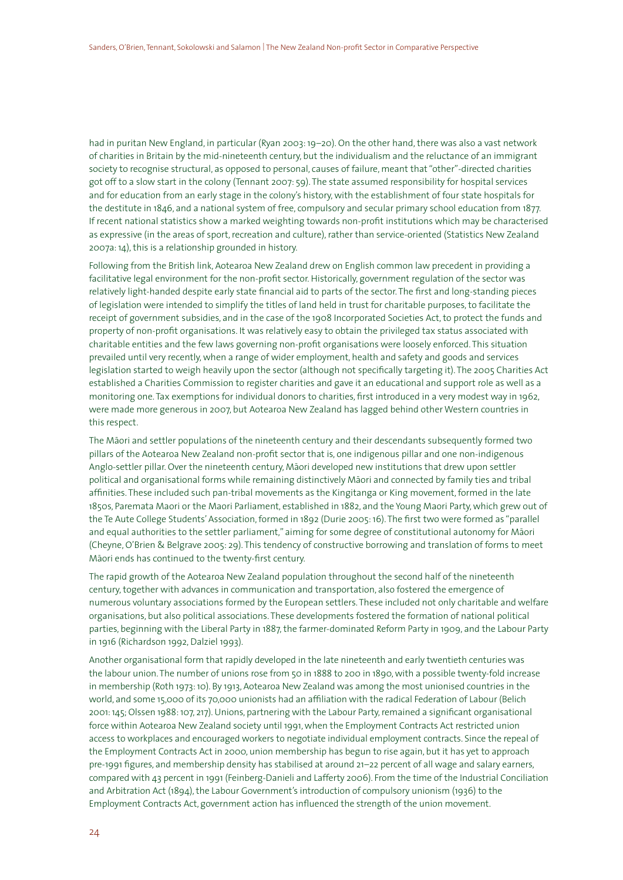had in puritan New England, in particular (Ryan 2003: 19–20). On the other hand, there was also a vast network of charities in Britain by the mid-nineteenth century, but the individualism and the reluctance of an immigrant society to recognise structural, as opposed to personal, causes of failure, meant that "other"-directed charities got off to a slow start in the colony (Tennant 2007: 59). The state assumed responsibility for hospital services and for education from an early stage in the colony's history, with the establishment of four state hospitals for the destitute in 1846, and a national system of free, compulsory and secular primary school education from 1877. If recent national statistics show a marked weighting towards non-profit institutions which may be characterised as expressive (in the areas of sport, recreation and culture), rather than service-oriented (Statistics New Zealand 2007a: 14), this is a relationship grounded in history.

Following from the British link, Aotearoa New Zealand drew on English common law precedent in providing a facilitative legal environment for the non-profit sector. Historically, government regulation of the sector was relatively light-handed despite early state financial aid to parts of the sector. The first and long-standing pieces of legislation were intended to simplify the titles of land held in trust for charitable purposes, to facilitate the receipt of government subsidies, and in the case of the 1908 Incorporated Societies Act, to protect the funds and property of non-profit organisations. It was relatively easy to obtain the privileged tax status associated with charitable entities and the few laws governing non-profit organisations were loosely enforced. This situation prevailed until very recently, when a range of wider employment, health and safety and goods and services legislation started to weigh heavily upon the sector (although not specifically targeting it). The 2005 Charities Act established a Charities Commission to register charities and gave it an educational and support role as well as a monitoring one. Tax exemptions for individual donors to charities, first introduced in a very modest way in 1962, were made more generous in 2007, but Aotearoa New Zealand has lagged behind other Western countries in this respect.

The Māori and settler populations of the nineteenth century and their descendants subsequently formed two pillars of the Aotearoa New Zealand non-profit sector that is, one indigenous pillar and one non-indigenous Anglo-settler pillar. Over the nineteenth century, Māori developed new institutions that drew upon settler political and organisational forms while remaining distinctively Māori and connected by family ties and tribal affinities. These included such pan-tribal movements as the Kingitanga or King movement, formed in the late 1850s, Paremata Maori or the Maori Parliament, established in 1882, and the Young Maori Party, which grew out of the Te Aute College Students' Association, formed in 1892 (Durie 2005: 16). The first two were formed as "parallel and equal authorities to the settler parliament," aiming for some degree of constitutional autonomy for Māori (Cheyne, O'Brien & Belgrave 2005: 29). This tendency of constructive borrowing and translation of forms to meet Māori ends has continued to the twenty-first century.

The rapid growth of the Aotearoa New Zealand population throughout the second half of the nineteenth century, together with advances in communication and transportation, also fostered the emergence of numerous voluntary associations formed by the European settlers. These included not only charitable and welfare organisations, but also political associations. These developments fostered the formation of national political parties, beginning with the Liberal Party in 1887, the farmer-dominated Reform Party in 1909, and the Labour Party in 1916 (Richardson 1992, Dalziel 1993).

Another organisational form that rapidly developed in the late nineteenth and early twentieth centuries was the labour union. The number of unions rose from 50 in 1888 to 200 in 1890, with a possible twenty-fold increase in membership (Roth 1973: 10). By 1913, Aotearoa New Zealand was among the most unionised countries in the world, and some 15,000 of its 70,000 unionists had an affiliation with the radical Federation of Labour (Belich 2001: 145; Olssen 1988: 107, 217). Unions, partnering with the Labour Party, remained a significant organisational force within Aotearoa New Zealand society until 1991, when the Employment Contracts Act restricted union access to workplaces and encouraged workers to negotiate individual employment contracts. Since the repeal of the Employment Contracts Act in 2000, union membership has begun to rise again, but it has yet to approach pre-1991 figures, and membership density has stabilised at around 21–22 percent of all wage and salary earners, compared with 43 percent in 1991 (Feinberg-Danieli and Lafferty 2006). From the time of the Industrial Conciliation and Arbitration Act (1894), the Labour Government's introduction of compulsory unionism (1936) to the Employment Contracts Act, government action has influenced the strength of the union movement.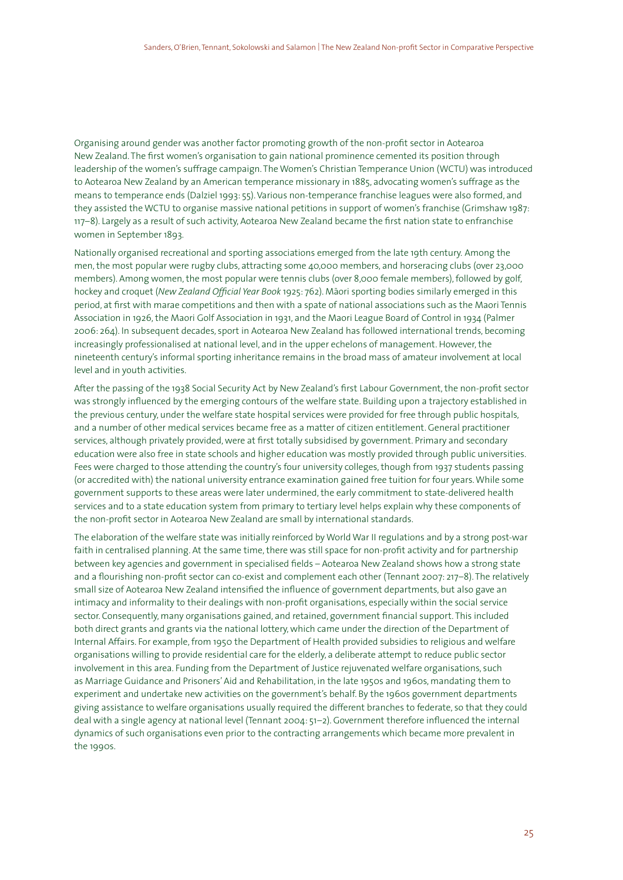Organising around gender was another factor promoting growth of the non-profit sector in Aotearoa New Zealand. The first women's organisation to gain national prominence cemented its position through leadership of the women's suffrage campaign. The Women's Christian Temperance Union (WCTU) was introduced to Aotearoa New Zealand by an American temperance missionary in 1885, advocating women's suffrage as the means to temperance ends (Dalziel 1993: 55). Various non-temperance franchise leagues were also formed, and they assisted the WCTU to organise massive national petitions in support of women's franchise (Grimshaw 1987: 117–8). Largely as a result of such activity, Aotearoa New Zealand became the first nation state to enfranchise women in September 1893.

Nationally organised recreational and sporting associations emerged from the late 19th century. Among the men, the most popular were rugby clubs, attracting some 40,000 members, and horseracing clubs (over 23,000 members). Among women, the most popular were tennis clubs (over 8,000 female members), followed by golf, hockey and croquet (*New Zealand Official Year Book* 1925: 762). Māori sporting bodies similarly emerged in this period, at first with marae competitions and then with a spate of national associations such as the Maori Tennis Association in 1926, the Maori Golf Association in 1931, and the Maori League Board of Control in 1934 (Palmer 2006: 264). In subsequent decades, sport in Aotearoa New Zealand has followed international trends, becoming increasingly professionalised at national level, and in the upper echelons of management. However, the nineteenth century's informal sporting inheritance remains in the broad mass of amateur involvement at local level and in youth activities.

After the passing of the 1938 Social Security Act by New Zealand's first Labour Government, the non-profit sector was strongly influenced by the emerging contours of the welfare state. Building upon a trajectory established in the previous century, under the welfare state hospital services were provided for free through public hospitals, and a number of other medical services became free as a matter of citizen entitlement. General practitioner services, although privately provided, were at first totally subsidised by government. Primary and secondary education were also free in state schools and higher education was mostly provided through public universities. Fees were charged to those attending the country's four university colleges, though from 1937 students passing (or accredited with) the national university entrance examination gained free tuition for four years. While some government supports to these areas were later undermined, the early commitment to state-delivered health services and to a state education system from primary to tertiary level helps explain why these components of the non-profit sector in Aotearoa New Zealand are small by international standards.

The elaboration of the welfare state was initially reinforced by World War II regulations and by a strong post-war faith in centralised planning. At the same time, there was still space for non-profit activity and for partnership between key agencies and government in specialised fields – Aotearoa New Zealand shows how a strong state and a flourishing non-profit sector can co-exist and complement each other (Tennant 2007: 217–8). The relatively small size of Aotearoa New Zealand intensified the influence of government departments, but also gave an intimacy and informality to their dealings with non-profit organisations, especially within the social service sector. Consequently, many organisations gained, and retained, government financial support. This included both direct grants and grants via the national lottery, which came under the direction of the Department of Internal Affairs. For example, from 1950 the Department of Health provided subsidies to religious and welfare organisations willing to provide residential care for the elderly, a deliberate attempt to reduce public sector involvement in this area. Funding from the Department of Justice rejuvenated welfare organisations, such as Marriage Guidance and Prisoners' Aid and Rehabilitation, in the late 1950s and 1960s, mandating them to experiment and undertake new activities on the government's behalf. By the 1960s government departments giving assistance to welfare organisations usually required the different branches to federate, so that they could deal with a single agency at national level (Tennant 2004: 51–2). Government therefore influenced the internal dynamics of such organisations even prior to the contracting arrangements which became more prevalent in the 1990s.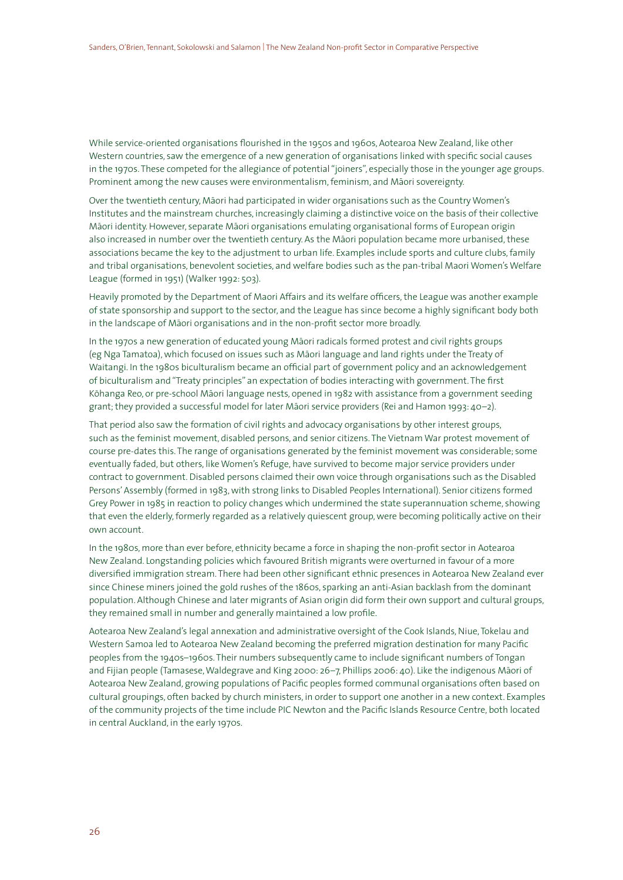While service-oriented organisations flourished in the 1950s and 1960s, Aotearoa New Zealand, like other Western countries, saw the emergence of a new generation of organisations linked with specific social causes in the 1970s. These competed for the allegiance of potential "joiners", especially those in the younger age groups. Prominent among the new causes were environmentalism, feminism, and Māori sovereignty.

Over the twentieth century, Māori had participated in wider organisations such as the Country Women's Institutes and the mainstream churches, increasingly claiming a distinctive voice on the basis of their collective Māori identity. However, separate Māori organisations emulating organisational forms of European origin also increased in number over the twentieth century. As the Māori population became more urbanised, these associations became the key to the adjustment to urban life. Examples include sports and culture clubs, family and tribal organisations, benevolent societies, and welfare bodies such as the pan-tribal Maori Women's Welfare League (formed in 1951) (Walker 1992: 503).

Heavily promoted by the Department of Maori Affairs and its welfare officers, the League was another example of state sponsorship and support to the sector, and the League has since become a highly significant body both in the landscape of Māori organisations and in the non-profit sector more broadly.

In the 1970s a new generation of educated young Māori radicals formed protest and civil rights groups (eg Nga Tamatoa), which focused on issues such as Māori language and land rights under the Treaty of Waitangi. In the 1980s biculturalism became an official part of government policy and an acknowledgement of biculturalism and "Treaty principles" an expectation of bodies interacting with government. The first Kōhanga Reo, or pre-school Māori language nests, opened in 1982 with assistance from a government seeding grant; they provided a successful model for later Māori service providers (Rei and Hamon 1993: 40-2).

That period also saw the formation of civil rights and advocacy organisations by other interest groups, such as the feminist movement, disabled persons, and senior citizens. The Vietnam War protest movement of course pre-dates this. The range of organisations generated by the feminist movement was considerable; some eventually faded, but others, like Women's Refuge, have survived to become major service providers under contract to government. Disabled persons claimed their own voice through organisations such as the Disabled Persons' Assembly (formed in 1983, with strong links to Disabled Peoples International). Senior citizens formed Grey Power in 1985 in reaction to policy changes which undermined the state superannuation scheme, showing that even the elderly, formerly regarded as a relatively quiescent group, were becoming politically active on their own account.

In the 1980s, more than ever before, ethnicity became a force in shaping the non-profit sector in Aotearoa New Zealand. Longstanding policies which favoured British migrants were overturned in favour of a more diversified immigration stream. There had been other significant ethnic presences in Aotearoa New Zealand ever since Chinese miners joined the gold rushes of the 1860s, sparking an anti-Asian backlash from the dominant population. Although Chinese and later migrants of Asian origin did form their own support and cultural groups, they remained small in number and generally maintained a low profile.

Aotearoa New Zealand's legal annexation and administrative oversight of the Cook Islands, Niue, Tokelau and Western Samoa led to Aotearoa New Zealand becoming the preferred migration destination for many Pacific peoples from the 1940s–1960s. Their numbers subsequently came to include significant numbers of Tongan and Fijian people (Tamasese, Waldegrave and King 2000: 26–7, Phillips 2006: 40). Like the indigenous Māori of Aotearoa New Zealand, growing populations of Pacific peoples formed communal organisations often based on cultural groupings, often backed by church ministers, in order to support one another in a new context. Examples of the community projects of the time include PIC Newton and the Pacific Islands Resource Centre, both located in central Auckland, in the early 1970s.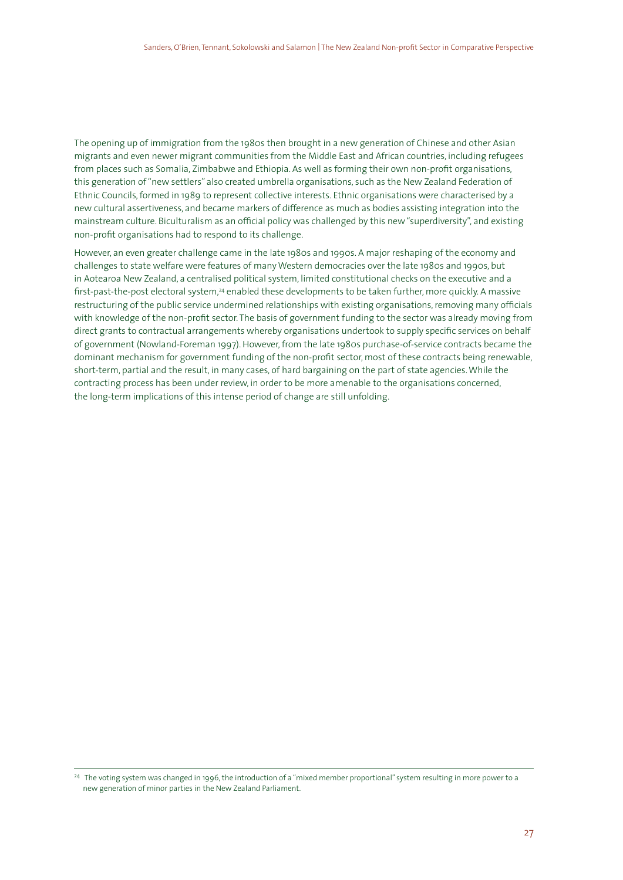The opening up of immigration from the 1980s then brought in a new generation of Chinese and other Asian migrants and even newer migrant communities from the Middle East and African countries, including refugees from places such as Somalia, Zimbabwe and Ethiopia. As well as forming their own non-profit organisations, this generation of "new settlers" also created umbrella organisations, such as the New Zealand Federation of Ethnic Councils, formed in 1989 to represent collective interests. Ethnic organisations were characterised by a new cultural assertiveness, and became markers of difference as much as bodies assisting integration into the mainstream culture. Biculturalism as an official policy was challenged by this new "superdiversity", and existing non-profit organisations had to respond to its challenge.

However, an even greater challenge came in the late 1980s and 1990s. A major reshaping of the economy and challenges to state welfare were features of many Western democracies over the late 1980s and 1990s, but in Aotearoa New Zealand, a centralised political system, limited constitutional checks on the executive and a first-past-the-post electoral system,<sup>24</sup> enabled these developments to be taken further, more quickly. A massive restructuring of the public service undermined relationships with existing organisations, removing many officials with knowledge of the non-profit sector. The basis of government funding to the sector was already moving from direct grants to contractual arrangements whereby organisations undertook to supply specific services on behalf of government (Nowland-Foreman 1997). However, from the late 1980s purchase-of-service contracts became the dominant mechanism for government funding of the non-profit sector, most of these contracts being renewable, short-term, partial and the result, in many cases, of hard bargaining on the part of state agencies. While the contracting process has been under review, in order to be more amenable to the organisations concerned, the long-term implications of this intense period of change are still unfolding.

<sup>&</sup>lt;sup>24</sup> The voting system was changed in 1996, the introduction of a "mixed member proportional" system resulting in more power to a new generation of minor parties in the New Zealand Parliament.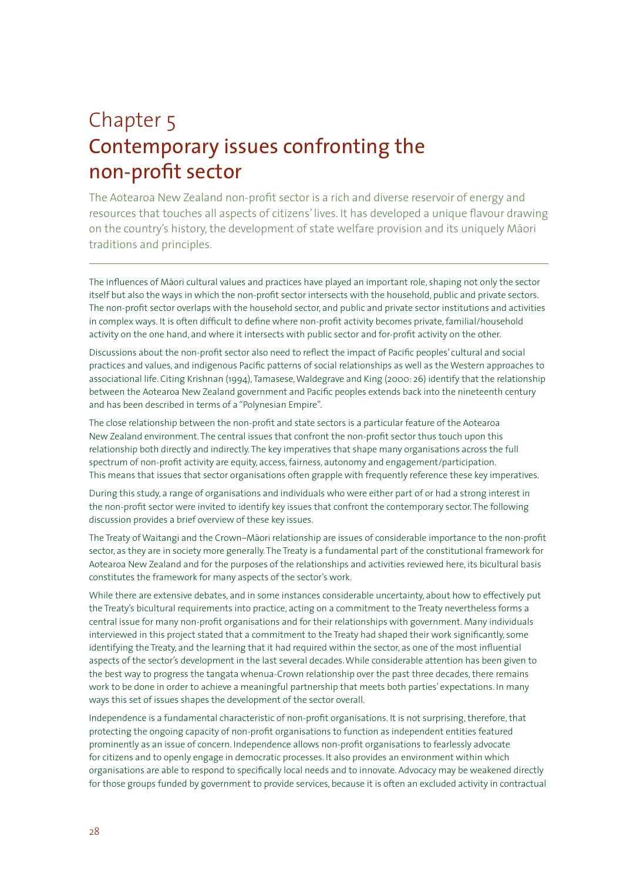# Chapter 5 Contemporary issues confronting the non-profit sector

The Aotearoa New Zealand non-profit sector is a rich and diverse reservoir of energy and resources that touches all aspects of citizens' lives. It has developed a unique flavour drawing on the country's history, the development of state welfare provision and its uniquely Māori traditions and principles.

The influences of Māori cultural values and practices have played an important role, shaping not only the sector itself but also the ways in which the non-profit sector intersects with the household, public and private sectors. The non-profit sector overlaps with the household sector, and public and private sector institutions and activities in complex ways. It is often difficult to define where non-profit activity becomes private, familial/household activity on the one hand, and where it intersects with public sector and for-profit activity on the other.

Discussions about the non-profit sector also need to reflect the impact of Pacific peoples' cultural and social practices and values, and indigenous Pacific patterns of social relationships as well as the Western approaches to associational life. Citing Krishnan (1994), Tamasese, Waldegrave and King (2000: 26) identify that the relationship between the Aotearoa New Zealand government and Pacific peoples extends back into the nineteenth century and has been described in terms of a "Polynesian Empire".

The close relationship between the non-profit and state sectors is a particular feature of the Aotearoa New Zealand environment. The central issues that confront the non-profit sector thus touch upon this relationship both directly and indirectly. The key imperatives that shape many organisations across the full spectrum of non-profit activity are equity, access, fairness, autonomy and engagement/participation. This means that issues that sector organisations often grapple with frequently reference these key imperatives.

During this study, a range of organisations and individuals who were either part of or had a strong interest in the non-profit sector were invited to identify key issues that confront the contemporary sector. The following discussion provides a brief overview of these key issues.

The Treaty of Waitangi and the Crown–Māori relationship are issues of considerable importance to the non-profit sector, as they are in society more generally. The Treaty is a fundamental part of the constitutional framework for Aotearoa New Zealand and for the purposes of the relationships and activities reviewed here, its bicultural basis constitutes the framework for many aspects of the sector's work.

While there are extensive debates, and in some instances considerable uncertainty, about how to effectively put the Treaty's bicultural requirements into practice, acting on a commitment to the Treaty nevertheless forms a central issue for many non-profit organisations and for their relationships with government. Many individuals interviewed in this project stated that a commitment to the Treaty had shaped their work significantly, some identifying the Treaty, and the learning that it had required within the sector, as one of the most influential aspects of the sector's development in the last several decades. While considerable attention has been given to the best way to progress the tangata whenua-Crown relationship over the past three decades, there remains work to be done in order to achieve a meaningful partnership that meets both parties' expectations. In many ways this set of issues shapes the development of the sector overall.

Independence is a fundamental characteristic of non-profit organisations. It is not surprising, therefore, that protecting the ongoing capacity of non-profit organisations to function as independent entities featured prominently as an issue of concern. Independence allows non-profit organisations to fearlessly advocate for citizens and to openly engage in democratic processes. It also provides an environment within which organisations are able to respond to specifically local needs and to innovate. Advocacy may be weakened directly for those groups funded by government to provide services, because it is often an excluded activity in contractual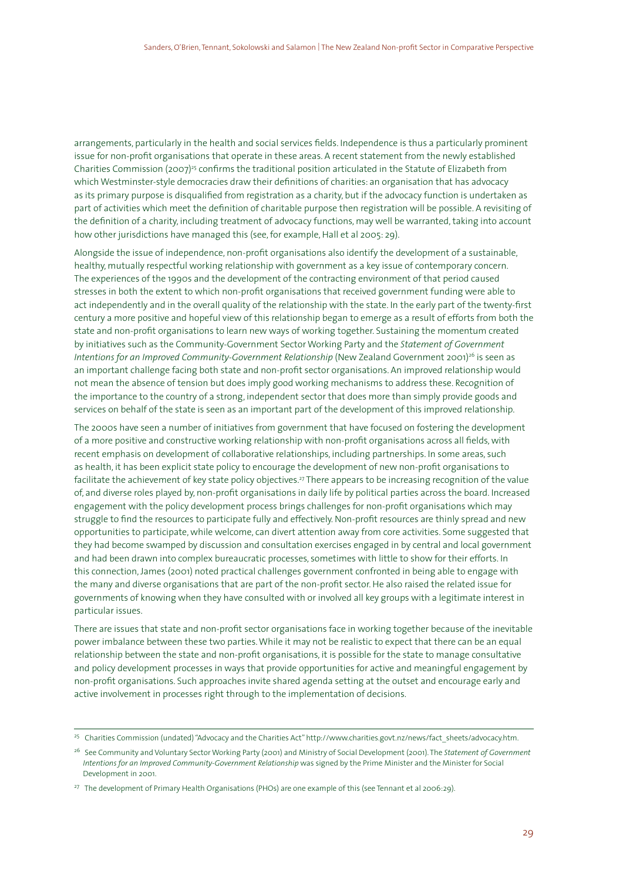arrangements, particularly in the health and social services fields. Independence is thus a particularly prominent issue for non-profit organisations that operate in these areas. A recent statement from the newly established Charities Commission (2007)<sup>25</sup> confirms the traditional position articulated in the Statute of Elizabeth from which Westminster-style democracies draw their definitions of charities: an organisation that has advocacy as its primary purpose is disqualified from registration as a charity, but if the advocacy function is undertaken as part of activities which meet the definition of charitable purpose then registration will be possible. A revisiting of the definition of a charity, including treatment of advocacy functions, may well be warranted, taking into account how other jurisdictions have managed this (see, for example, Hall et al 2005: 29).

Alongside the issue of independence, non-profit organisations also identify the development of a sustainable, healthy, mutually respectful working relationship with government as a key issue of contemporary concern. The experiences of the 1990s and the development of the contracting environment of that period caused stresses in both the extent to which non-profit organisations that received government funding were able to act independently and in the overall quality of the relationship with the state. In the early part of the twenty-first century a more positive and hopeful view of this relationship began to emerge as a result of efforts from both the state and non-profit organisations to learn new ways of working together. Sustaining the momentum created by initiatives such as the Community-Government Sector Working Party and the *Statement of Government Intentions for an Improved Community-Government Relationship* (New Zealand Government 2001)<sup>26</sup> is seen as an important challenge facing both state and non-profit sector organisations. An improved relationship would not mean the absence of tension but does imply good working mechanisms to address these. Recognition of the importance to the country of a strong, independent sector that does more than simply provide goods and services on behalf of the state is seen as an important part of the development of this improved relationship.

The 2000s have seen a number of initiatives from government that have focused on fostering the development of a more positive and constructive working relationship with non-profit organisations across all fields, with recent emphasis on development of collaborative relationships, including partnerships. In some areas, such as health, it has been explicit state policy to encourage the development of new non-profit organisations to facilitate the achievement of key state policy objectives.27 There appears to be increasing recognition of the value of, and diverse roles played by, non-profit organisations in daily life by political parties across the board. Increased engagement with the policy development process brings challenges for non-profit organisations which may struggle to find the resources to participate fully and effectively. Non-profit resources are thinly spread and new opportunities to participate, while welcome, can divert attention away from core activities. Some suggested that they had become swamped by discussion and consultation exercises engaged in by central and local government and had been drawn into complex bureaucratic processes, sometimes with little to show for their efforts. In this connection, James (2001) noted practical challenges government confronted in being able to engage with the many and diverse organisations that are part of the non-profit sector. He also raised the related issue for governments of knowing when they have consulted with or involved all key groups with a legitimate interest in particular issues.

There are issues that state and non-profit sector organisations face in working together because of the inevitable power imbalance between these two parties. While it may not be realistic to expect that there can be an equal relationship between the state and non-profit organisations, it is possible for the state to manage consultative and policy development processes in ways that provide opportunities for active and meaningful engagement by non-profit organisations. Such approaches invite shared agenda setting at the outset and encourage early and active involvement in processes right through to the implementation of decisions.

<sup>&</sup>lt;sup>25</sup> Charities Commission (undated) "Advocacy and the Charities Act" http://www.charities.govt.nz/news/fact sheets/advocacy.htm.

<sup>26</sup> See Community and Voluntary Sector Working Party (2001) and Ministry of Social Development (2001). The *Statement of Government Intentions for an Improved Community-Government Relationship* was signed by the Prime Minister and the Minister for Social Development in 2001.

<sup>&</sup>lt;sup>27</sup> The development of Primary Health Organisations (PHOs) are one example of this (see Tennant et al 2006:29).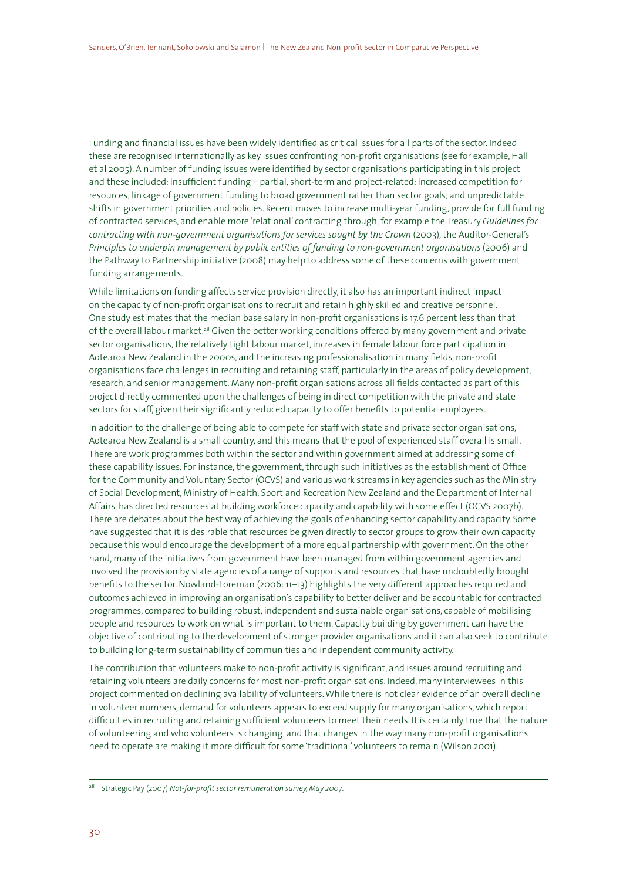Funding and financial issues have been widely identified as critical issues for all parts of the sector. Indeed these are recognised internationally as key issues confronting non-profit organisations (see for example, Hall et al 2005). A number of funding issues were identified by sector organisations participating in this project and these included: insufficient funding – partial, short-term and project-related; increased competition for resources; linkage of government funding to broad government rather than sector goals; and unpredictable shifts in government priorities and policies. Recent moves to increase multi-year funding, provide for full funding of contracted services, and enable more 'relational' contracting through, for example the Treasury *Guidelines for contracting with non-government organisations for services sought by the Crown* (2003), the Auditor-General's *Principles to underpin management by public entities of funding to non-government organisations* (2006) and the Pathway to Partnership initiative (2008) may help to address some of these concerns with government funding arrangements.

While limitations on funding affects service provision directly, it also has an important indirect impact on the capacity of non-profit organisations to recruit and retain highly skilled and creative personnel. One study estimates that the median base salary in non-profit organisations is 17.6 percent less than that of the overall labour market.<sup>28</sup> Given the better working conditions offered by many government and private sector organisations, the relatively tight labour market, increases in female labour force participation in Aotearoa New Zealand in the 2000s, and the increasing professionalisation in many fields, non-profit organisations face challenges in recruiting and retaining staff, particularly in the areas of policy development, research, and senior management. Many non-profit organisations across all fields contacted as part of this project directly commented upon the challenges of being in direct competition with the private and state sectors for staff, given their significantly reduced capacity to offer benefits to potential employees.

In addition to the challenge of being able to compete for staff with state and private sector organisations, Aotearoa New Zealand is a small country, and this means that the pool of experienced staff overall is small. There are work programmes both within the sector and within government aimed at addressing some of these capability issues. For instance, the government, through such initiatives as the establishment of Office for the Community and Voluntary Sector (OCVS) and various work streams in key agencies such as the Ministry of Social Development, Ministry of Health, Sport and Recreation New Zealand and the Department of Internal Affairs, has directed resources at building workforce capacity and capability with some effect (OCVS 2007b). There are debates about the best way of achieving the goals of enhancing sector capability and capacity. Some have suggested that it is desirable that resources be given directly to sector groups to grow their own capacity because this would encourage the development of a more equal partnership with government. On the other hand, many of the initiatives from government have been managed from within government agencies and involved the provision by state agencies of a range of supports and resources that have undoubtedly brought benefits to the sector. Nowland-Foreman (2006: 11–13) highlights the very different approaches required and outcomes achieved in improving an organisation's capability to better deliver and be accountable for contracted programmes, compared to building robust, independent and sustainable organisations, capable of mobilising people and resources to work on what is important to them. Capacity building by government can have the objective of contributing to the development of stronger provider organisations and it can also seek to contribute to building long-term sustainability of communities and independent community activity.

The contribution that volunteers make to non-profit activity is significant, and issues around recruiting and retaining volunteers are daily concerns for most non-profit organisations. Indeed, many interviewees in this project commented on declining availability of volunteers. While there is not clear evidence of an overall decline in volunteer numbers, demand for volunteers appears to exceed supply for many organisations, which report difficulties in recruiting and retaining sufficient volunteers to meet their needs. It is certainly true that the nature of volunteering and who volunteers is changing, and that changes in the way many non-profit organisations need to operate are making it more difficult for some 'traditional' volunteers to remain (Wilson 2001).

<sup>28</sup> Strategic Pay (2007) *Not-for-profit sector remuneration survey, May 2007*.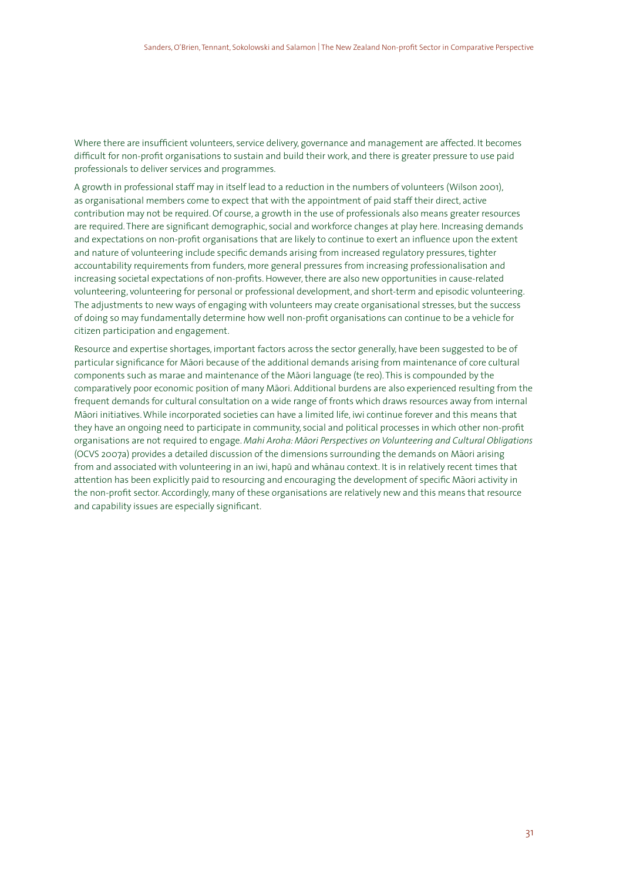Where there are insufficient volunteers, service delivery, governance and management are affected. It becomes difficult for non-profit organisations to sustain and build their work, and there is greater pressure to use paid professionals to deliver services and programmes.

A growth in professional staff may in itself lead to a reduction in the numbers of volunteers (Wilson 2001), as organisational members come to expect that with the appointment of paid staff their direct, active contribution may not be required. Of course, a growth in the use of professionals also means greater resources are required. There are significant demographic, social and workforce changes at play here. Increasing demands and expectations on non-profit organisations that are likely to continue to exert an influence upon the extent and nature of volunteering include specific demands arising from increased regulatory pressures, tighter accountability requirements from funders, more general pressures from increasing professionalisation and increasing societal expectations of non-profits. However, there are also new opportunities in cause-related volunteering, volunteering for personal or professional development, and short-term and episodic volunteering. The adjustments to new ways of engaging with volunteers may create organisational stresses, but the success of doing so may fundamentally determine how well non-profit organisations can continue to be a vehicle for citizen participation and engagement.

Resource and expertise shortages, important factors across the sector generally, have been suggested to be of particular significance for Māori because of the additional demands arising from maintenance of core cultural components such as marae and maintenance of the Māori language (te reo). This is compounded by the comparatively poor economic position of many Māori. Additional burdens are also experienced resulting from the frequent demands for cultural consultation on a wide range of fronts which draws resources away from internal Māori initiatives. While incorporated societies can have a limited life, iwi continue forever and this means that they have an ongoing need to participate in community, social and political processes in which other non-profit organisations are not required to engage. Mahi Aroha: Māori Perspectives on Volunteering and Cultural Obligations (OCVS 2007a) provides a detailed discussion of the dimensions surrounding the demands on Māori arising from and associated with volunteering in an iwi, hapū and whānau context. It is in relatively recent times that attention has been explicitly paid to resourcing and encouraging the development of specific Māori activity in the non-profit sector. Accordingly, many of these organisations are relatively new and this means that resource and capability issues are especially significant.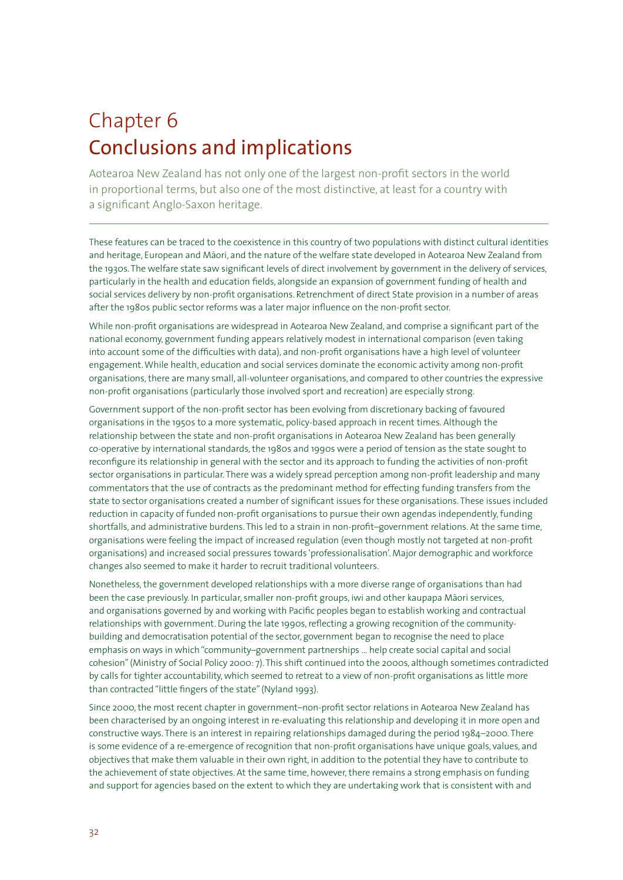# Chapter 6 Conclusions and implications

Aotearoa New Zealand has not only one of the largest non-profit sectors in the world in proportional terms, but also one of the most distinctive, at least for a country with a significant Anglo-Saxon heritage.

These features can be traced to the coexistence in this country of two populations with distinct cultural identities and heritage, European and Māori, and the nature of the welfare state developed in Aotearoa New Zealand from the 1930s. The welfare state saw significant levels of direct involvement by government in the delivery of services, particularly in the health and education fields, alongside an expansion of government funding of health and social services delivery by non-profit organisations. Retrenchment of direct State provision in a number of areas after the 1980s public sector reforms was a later major influence on the non-profit sector.

While non-profit organisations are widespread in Aotearoa New Zealand, and comprise a significant part of the national economy, government funding appears relatively modest in international comparison (even taking into account some of the difficulties with data), and non-profit organisations have a high level of volunteer engagement. While health, education and social services dominate the economic activity among non-profit organisations, there are many small, all-volunteer organisations, and compared to other countries the expressive non-profit organisations (particularly those involved sport and recreation) are especially strong.

Government support of the non-profit sector has been evolving from discretionary backing of favoured organisations in the 1950s to a more systematic, policy-based approach in recent times. Although the relationship between the state and non-profit organisations in Aotearoa New Zealand has been generally co-operative by international standards, the 1980s and 1990s were a period of tension as the state sought to reconfigure its relationship in general with the sector and its approach to funding the activities of non-profit sector organisations in particular. There was a widely spread perception among non-profit leadership and many commentators that the use of contracts as the predominant method for effecting funding transfers from the state to sector organisations created a number of significant issues for these organisations. These issues included reduction in capacity of funded non-profit organisations to pursue their own agendas independently, funding shortfalls, and administrative burdens. This led to a strain in non-profit–government relations. At the same time, organisations were feeling the impact of increased regulation (even though mostly not targeted at non-profit organisations) and increased social pressures towards 'professionalisation'. Major demographic and workforce changes also seemed to make it harder to recruit traditional volunteers.

Nonetheless, the government developed relationships with a more diverse range of organisations than had been the case previously. In particular, smaller non-profit groups, iwi and other kaupapa Māori services, and organisations governed by and working with Pacific peoples began to establish working and contractual relationships with government. During the late 1990s, reflecting a growing recognition of the communitybuilding and democratisation potential of the sector, government began to recognise the need to place emphasis on ways in which "community–government partnerships … help create social capital and social cohesion" (Ministry of Social Policy 2000: 7). This shift continued into the 2000s, although sometimes contradicted by calls for tighter accountability, which seemed to retreat to a view of non-profit organisations as little more than contracted "little fingers of the state" (Nyland 1993).

Since 2000, the most recent chapter in government–non-profit sector relations in Aotearoa New Zealand has been characterised by an ongoing interest in re-evaluating this relationship and developing it in more open and constructive ways. There is an interest in repairing relationships damaged during the period 1984–2000. There is some evidence of a re-emergence of recognition that non-profit organisations have unique goals, values, and objectives that make them valuable in their own right, in addition to the potential they have to contribute to the achievement of state objectives. At the same time, however, there remains a strong emphasis on funding and support for agencies based on the extent to which they are undertaking work that is consistent with and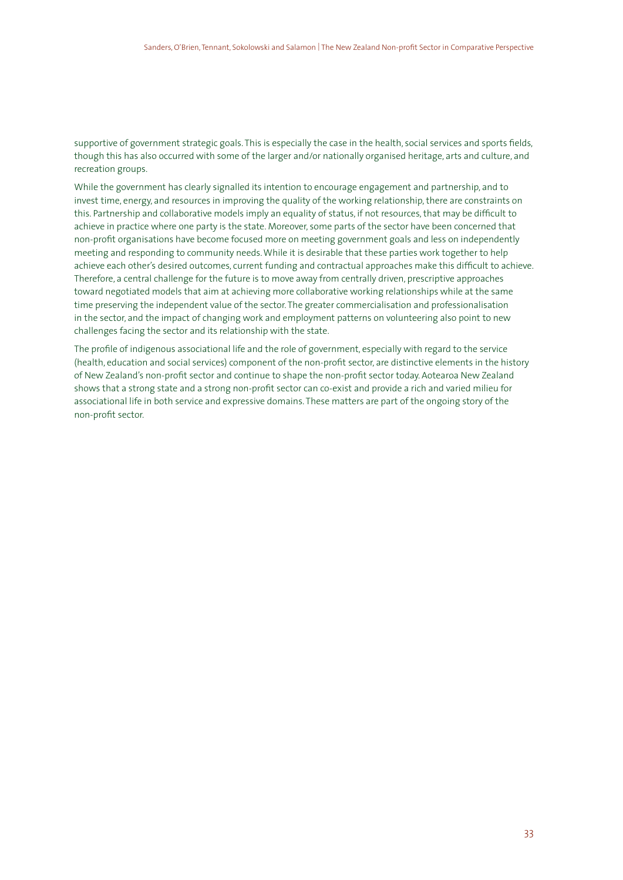supportive of government strategic goals. This is especially the case in the health, social services and sports fields, though this has also occurred with some of the larger and/or nationally organised heritage, arts and culture, and recreation groups.

While the government has clearly signalled its intention to encourage engagement and partnership, and to invest time, energy, and resources in improving the quality of the working relationship, there are constraints on this. Partnership and collaborative models imply an equality of status, if not resources, that may be difficult to achieve in practice where one party is the state. Moreover, some parts of the sector have been concerned that non-profit organisations have become focused more on meeting government goals and less on independently meeting and responding to community needs. While it is desirable that these parties work together to help achieve each other's desired outcomes, current funding and contractual approaches make this difficult to achieve. Therefore, a central challenge for the future is to move away from centrally driven, prescriptive approaches toward negotiated models that aim at achieving more collaborative working relationships while at the same time preserving the independent value of the sector. The greater commercialisation and professionalisation in the sector, and the impact of changing work and employment patterns on volunteering also point to new challenges facing the sector and its relationship with the state.

The profile of indigenous associational life and the role of government, especially with regard to the service (health, education and social services) component of the non-profit sector, are distinctive elements in the history of New Zealand's non-profit sector and continue to shape the non-profit sector today. Aotearoa New Zealand shows that a strong state and a strong non-profit sector can co-exist and provide a rich and varied milieu for associational life in both service and expressive domains. These matters are part of the ongoing story of the non-profit sector.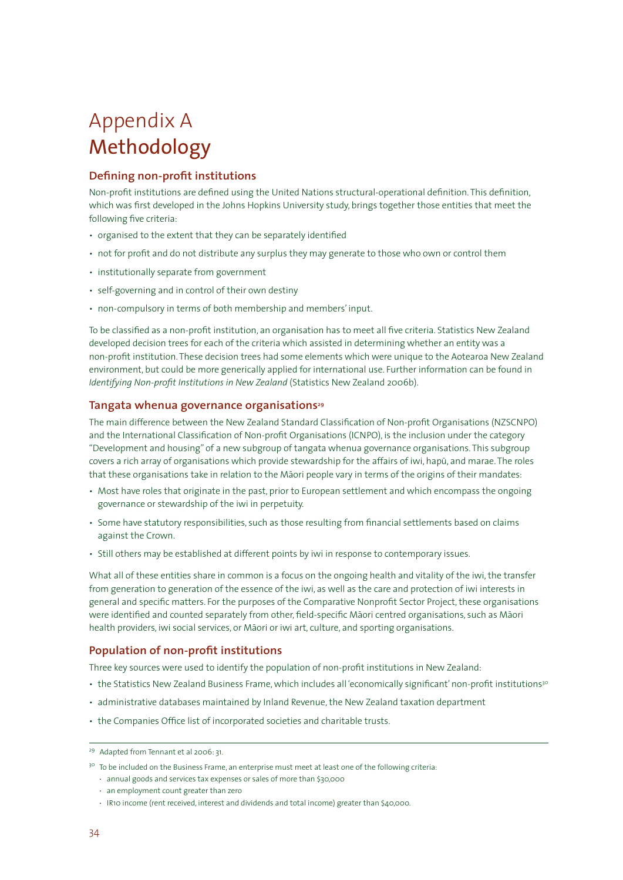# Appendix A Methodology

# **Defining non-profit institutions**

Non-profit institutions are defined using the United Nations structural-operational definition. This definition, which was first developed in the Johns Hopkins University study, brings together those entities that meet the following five criteria:

- organised to the extent that they can be separately identified
- not for profit and do not distribute any surplus they may generate to those who own or control them
- institutionally separate from government
- self-governing and in control of their own destiny
- non-compulsory in terms of both membership and members' input.

To be classified as a non-profit institution, an organisation has to meet all five criteria. Statistics New Zealand developed decision trees for each of the criteria which assisted in determining whether an entity was a non-profit institution. These decision trees had some elements which were unique to the Aotearoa New Zealand environment, but could be more generically applied for international use. Further information can be found in *Identifying Non-profit Institutions in New Zealand* (Statistics New Zealand 2006b).

# Tangata whenua governance organisations<sup>29</sup>

The main difference between the New Zealand Standard Classification of Non-profit Organisations (NZSCNPO) and the International Classification of Non-profit Organisations (ICNPO), is the inclusion under the category "Development and housing" of a new subgroup of tangata whenua governance organisations. This subgroup covers a rich array of organisations which provide stewardship for the affairs of iwi, hapū, and marae. The roles that these organisations take in relation to the Māori people vary in terms of the origins of their mandates:

- Most have roles that originate in the past, prior to European settlement and which encompass the ongoing governance or stewardship of the iwi in perpetuity.
- Some have statutory responsibilities, such as those resulting from financial settlements based on claims against the Crown.
- Still others may be established at different points by iwi in response to contemporary issues.

What all of these entities share in common is a focus on the ongoing health and vitality of the iwi, the transfer from generation to generation of the essence of the iwi, as well as the care and protection of iwi interests in general and specific matters. For the purposes of the Comparative Nonprofit Sector Project, these organisations were identified and counted separately from other, field-specific Māori centred organisations, such as Māori health providers, iwi social services, or Māori or iwi art, culture, and sporting organisations.

# **Population of non-profit institutions**

Three key sources were used to identify the population of non-profit institutions in New Zealand:

- the Statistics New Zealand Business Frame, which includes all 'economically significant' non-profit institutions<sup>30</sup>
- administrative databases maintained by Inland Revenue, the New Zealand taxation department
- the Companies Office list of incorporated societies and charitable trusts.

<sup>29</sup> Adapted from Tennant et al 2006: 31.

<sup>&</sup>lt;sup>30</sup> To be included on the Business Frame, an enterprise must meet at least one of the following criteria:

<sup>•</sup> annual goods and services tax expenses or sales of more than \$30,000

<sup>•</sup> an employment count greater than zero

<sup>•</sup> IR10 income (rent received, interest and dividends and total income) greater than \$40,000.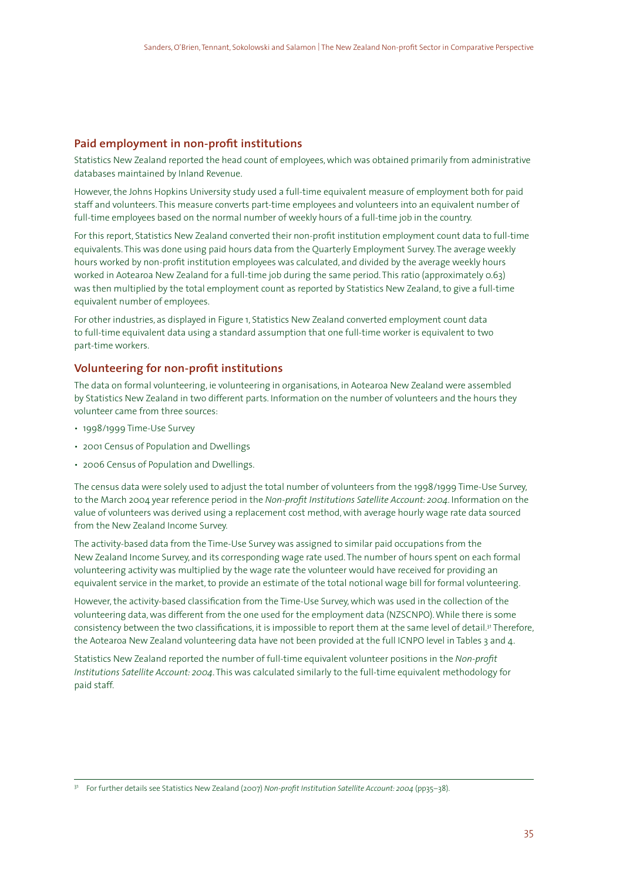# **Paid employment in non-profit institutions**

Statistics New Zealand reported the head count of employees, which was obtained primarily from administrative databases maintained by Inland Revenue.

However, the Johns Hopkins University study used a full-time equivalent measure of employment both for paid staff and volunteers. This measure converts part-time employees and volunteers into an equivalent number of full-time employees based on the normal number of weekly hours of a full-time job in the country.

For this report, Statistics New Zealand converted their non-profit institution employment count data to full-time equivalents. This was done using paid hours data from the Quarterly Employment Survey. The average weekly hours worked by non-profit institution employees was calculated, and divided by the average weekly hours worked in Aotearoa New Zealand for a full-time job during the same period. This ratio (approximately 0.63) was then multiplied by the total employment count as reported by Statistics New Zealand, to give a full-time equivalent number of employees.

For other industries, as displayed in Figure 1, Statistics New Zealand converted employment count data to full-time equivalent data using a standard assumption that one full-time worker is equivalent to two part-time workers.

#### **Volunteering for non-profit institutions**

The data on formal volunteering, ie volunteering in organisations, in Aotearoa New Zealand were assembled by Statistics New Zealand in two different parts. Information on the number of volunteers and the hours they volunteer came from three sources:

- 1998/1999 Time-Use Survey
- 2001 Census of Population and Dwellings
- 2006 Census of Population and Dwellings.

The census data were solely used to adjust the total number of volunteers from the 1998/1999 Time-Use Survey, to the March 2004 year reference period in the *Non-profit Institutions Satellite Account: 2004*. Information on the value of volunteers was derived using a replacement cost method, with average hourly wage rate data sourced from the New Zealand Income Survey.

The activity-based data from the Time-Use Survey was assigned to similar paid occupations from the New Zealand Income Survey, and its corresponding wage rate used. The number of hours spent on each formal volunteering activity was multiplied by the wage rate the volunteer would have received for providing an equivalent service in the market, to provide an estimate of the total notional wage bill for formal volunteering.

However, the activity-based classification from the Time-Use Survey, which was used in the collection of the volunteering data, was different from the one used for the employment data (NZSCNPO). While there is some consistency between the two classifications, it is impossible to report them at the same level of detail.<sup>31</sup> Therefore, the Aotearoa New Zealand volunteering data have not been provided at the full ICNPO level in Tables 3 and 4.

Statistics New Zealand reported the number of full-time equivalent volunteer positions in the *Non-profit Institutions Satellite Account: 2004*. This was calculated similarly to the full-time equivalent methodology for paid staff.

<sup>31</sup> For further details see Statistics New Zealand (2007) *Non-profit Institution Satellite Account: 2004* (pp35–38).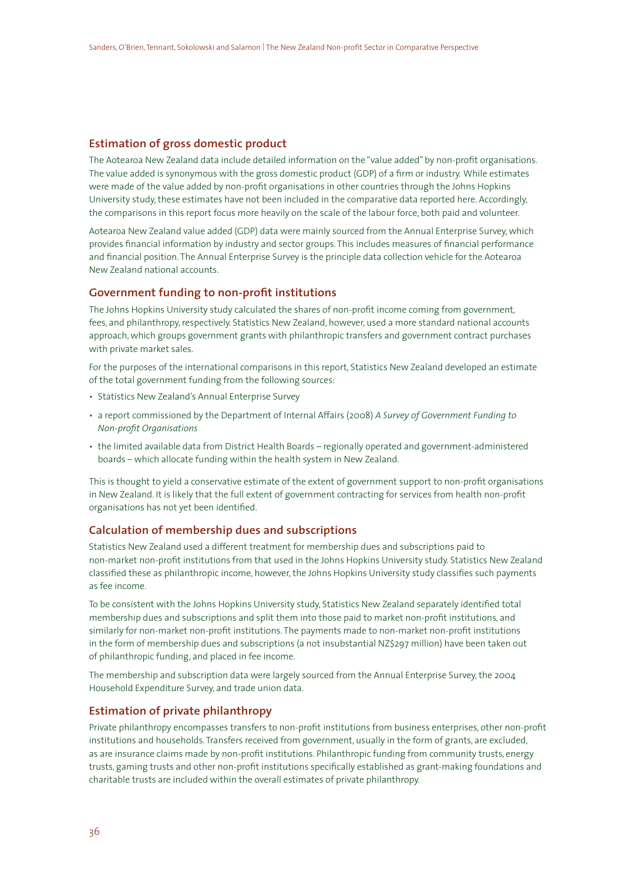# **Estimation of gross domestic product**

The Aotearoa New Zealand data include detailed information on the "value added" by non-profit organisations. The value added is synonymous with the gross domestic product (GDP) of a firm or industry. While estimates were made of the value added by non-profit organisations in other countries through the Johns Hopkins University study, these estimates have not been included in the comparative data reported here. Accordingly, the comparisons in this report focus more heavily on the scale of the labour force, both paid and volunteer.

Aotearoa New Zealand value added (GDP) data were mainly sourced from the Annual Enterprise Survey, which provides financial information by industry and sector groups. This includes measures of financial performance and financial position. The Annual Enterprise Survey is the principle data collection vehicle for the Aotearoa New Zealand national accounts.

# **Government funding to non-profit institutions**

The Johns Hopkins University study calculated the shares of non-profit income coming from government, fees, and philanthropy, respectively. Statistics New Zealand, however, used a more standard national accounts approach, which groups government grants with philanthropic transfers and government contract purchases with private market sales.

For the purposes of the international comparisons in this report, Statistics New Zealand developed an estimate of the total government funding from the following sources:

- Statistics New Zealand's Annual Enterprise Survey
- a report commissioned by the Department of Internal Affairs (2008) *A Survey of Government Funding to Non-profit Organisations*
- the limited available data from District Health Boards regionally operated and government-administered boards – which allocate funding within the health system in New Zealand.

This is thought to yield a conservative estimate of the extent of government support to non-profit organisations in New Zealand. It is likely that the full extent of government contracting for services from health non-profit organisations has not yet been identified.

### **Calculation of membership dues and subscriptions**

Statistics New Zealand used a different treatment for membership dues and subscriptions paid to non-market non-profit institutions from that used in the Johns Hopkins University study. Statistics New Zealand classified these as philanthropic income, however, the Johns Hopkins University study classifies such payments as fee income.

To be consistent with the Johns Hopkins University study, Statistics New Zealand separately identified total membership dues and subscriptions and split them into those paid to market non-profit institutions, and similarly for non-market non-profit institutions. The payments made to non-market non-profit institutions in the form of membership dues and subscriptions (a not insubstantial NZ\$297 million) have been taken out of philanthropic funding, and placed in fee income.

The membership and subscription data were largely sourced from the Annual Enterprise Survey, the 2004 Household Expenditure Survey, and trade union data.

### **Estimation of private philanthropy**

Private philanthropy encompasses transfers to non-profit institutions from business enterprises, other non-profit institutions and households. Transfers received from government, usually in the form of grants, are excluded, as are insurance claims made by non-profit institutions. Philanthropic funding from community trusts, energy trusts, gaming trusts and other non-profit institutions specifically established as grant-making foundations and charitable trusts are included within the overall estimates of private philanthropy.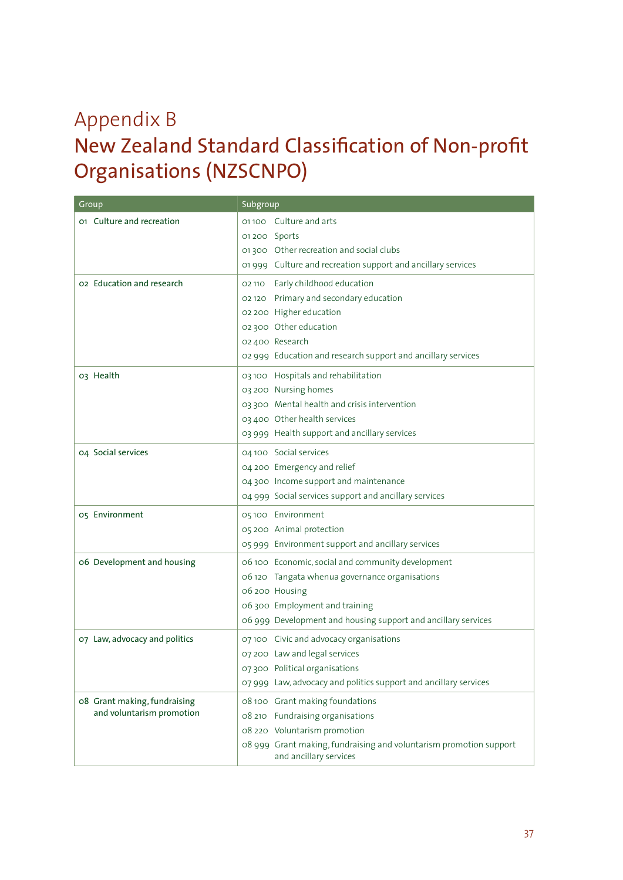# Appendix B New Zealand Standard Classification of Non-profit Organisations (NZSCNPO)

| Group                         | Subgroup                                                                                     |
|-------------------------------|----------------------------------------------------------------------------------------------|
| 01 Culture and recreation     | 01100 Culture and arts                                                                       |
|                               | 01200 Sports                                                                                 |
|                               | 01300 Other recreation and social clubs                                                      |
|                               | 01 999 Culture and recreation support and ancillary services                                 |
| 02 Education and research     | 02 110 Early childhood education                                                             |
|                               | 02 120 Primary and secondary education                                                       |
|                               | 02 200 Higher education                                                                      |
|                               | 02 300 Other education                                                                       |
|                               | 02 400 Research                                                                              |
|                               | 02 999 Education and research support and ancillary services                                 |
| 03 Health                     | 03 100 Hospitals and rehabilitation                                                          |
|                               | 03 200 Nursing homes                                                                         |
|                               | 03 300 Mental health and crisis intervention                                                 |
|                               | 03 400 Other health services                                                                 |
|                               | 03 999 Health support and ancillary services                                                 |
| 04 Social services            | 04 100 Social services                                                                       |
|                               | 04 200 Emergency and relief                                                                  |
|                               | 04 300 Income support and maintenance                                                        |
|                               | 04 999 Social services support and ancillary services                                        |
| 05 Environment                | 05 100 Environment                                                                           |
|                               | 05 200 Animal protection                                                                     |
|                               | 05 999 Environment support and ancillary services                                            |
| 06 Development and housing    | 06 100 Economic, social and community development                                            |
|                               | 06 120 Tangata whenua governance organisations                                               |
|                               | 06 200 Housing                                                                               |
|                               | 06 300 Employment and training                                                               |
|                               | 06 999 Development and housing support and ancillary services                                |
| 07 Law, advocacy and politics | 07100 Civic and advocacy organisations                                                       |
|                               | 07 200 Law and legal services                                                                |
|                               | 07300 Political organisations                                                                |
|                               | 07 999 Law, advocacy and politics support and ancillary services                             |
| 08 Grant making, fundraising  | 08 100 Grant making foundations                                                              |
| and voluntarism promotion     | 08 210 Fundraising organisations                                                             |
|                               | 08 220 Voluntarism promotion                                                                 |
|                               | 08 999 Grant making, fundraising and voluntarism promotion support<br>and ancillary services |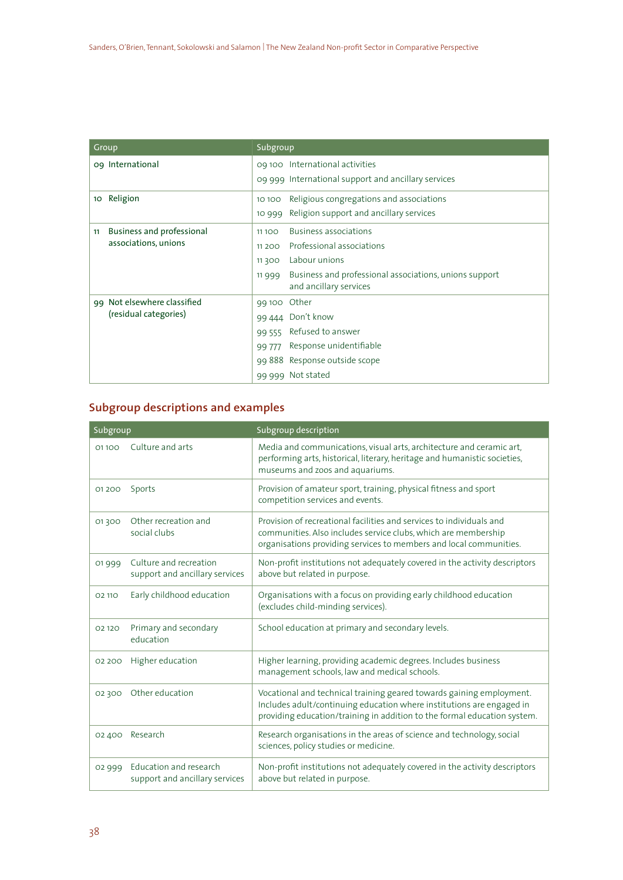| Group                           | Subgroup                                                                                  |
|---------------------------------|-------------------------------------------------------------------------------------------|
| og International                | 09 100 International activities                                                           |
|                                 | 09 999 International support and ancillary services                                       |
| Religion<br>10 <sub>o</sub>     | Religious congregations and associations<br>10 10 0                                       |
|                                 | Religion support and ancillary services<br>10 9 9 9                                       |
| Business and professional<br>11 | Business associations<br>11100                                                            |
| associations, unions            | Professional associations<br>11 2 0 0                                                     |
|                                 | Labour unions<br>11300                                                                    |
|                                 | Business and professional associations, unions support<br>11999<br>and ancillary services |
| 99 Not elsewhere classified     | 99 100 Other                                                                              |
| (residual categories)           | 99 444 Don't know                                                                         |
|                                 | Refused to answer<br>99 555                                                               |
|                                 | Response unidentifiable<br>99 777                                                         |
|                                 | 99 888 Response outside scope                                                             |
|                                 | Not stated<br>99 999                                                                      |

# **Subgroup descriptions and examples**

| Subgroup |                                                          | Subgroup description                                                                                                                                                                                                      |
|----------|----------------------------------------------------------|---------------------------------------------------------------------------------------------------------------------------------------------------------------------------------------------------------------------------|
| 01100    | Culture and arts                                         | Media and communications, visual arts, architecture and ceramic art,<br>performing arts, historical, literary, heritage and humanistic societies,<br>museums and zoos and aquariums.                                      |
| 01 2 0 0 | Sports                                                   | Provision of amateur sport, training, physical fitness and sport<br>competition services and events.                                                                                                                      |
| 01300    | Other recreation and<br>social clubs                     | Provision of recreational facilities and services to individuals and<br>communities. Also includes service clubs, which are membership<br>organisations providing services to members and local communities.              |
| 01999    | Culture and recreation<br>support and ancillary services | Non-profit institutions not adequately covered in the activity descriptors<br>above but related in purpose.                                                                                                               |
| 02 110   | Early childhood education                                | Organisations with a focus on providing early childhood education<br>(excludes child-minding services).                                                                                                                   |
| 02 120   | Primary and secondary<br>education                       | School education at primary and secondary levels.                                                                                                                                                                         |
| 02 200   | Higher education                                         | Higher learning, providing academic degrees. Includes business<br>management schools, law and medical schools.                                                                                                            |
| 02 300   | Other education                                          | Vocational and technical training geared towards gaining employment.<br>Includes adult/continuing education where institutions are engaged in<br>providing education/training in addition to the formal education system. |
| 02 400   | Research                                                 | Research organisations in the areas of science and technology, social<br>sciences, policy studies or medicine.                                                                                                            |
| 02 9 9 9 | Education and research<br>support and ancillary services | Non-profit institutions not adequately covered in the activity descriptors<br>above but related in purpose.                                                                                                               |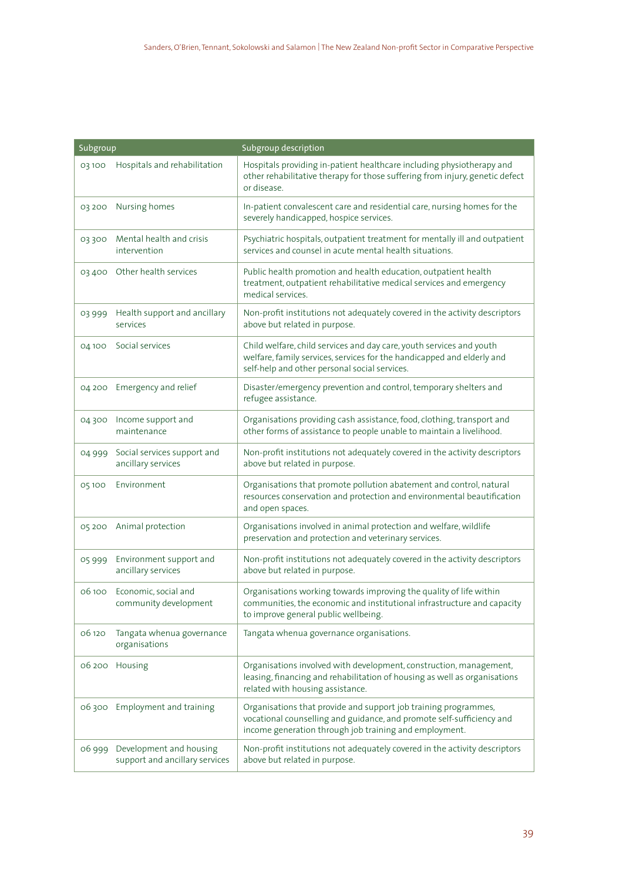| Subgroup |                                                           | Subgroup description                                                                                                                                                                               |
|----------|-----------------------------------------------------------|----------------------------------------------------------------------------------------------------------------------------------------------------------------------------------------------------|
| 03100    | Hospitals and rehabilitation                              | Hospitals providing in-patient healthcare including physiotherapy and<br>other rehabilitative therapy for those suffering from injury, genetic defect<br>or disease.                               |
| 03 200   | Nursing homes                                             | In-patient convalescent care and residential care, nursing homes for the<br>severely handicapped, hospice services.                                                                                |
| 03300    | Mental health and crisis<br>intervention                  | Psychiatric hospitals, outpatient treatment for mentally ill and outpatient<br>services and counsel in acute mental health situations.                                                             |
|          | 03 400 Other health services                              | Public health promotion and health education, outpatient health<br>treatment, outpatient rehabilitative medical services and emergency<br>medical services.                                        |
| 03999    | Health support and ancillary<br>services                  | Non-profit institutions not adequately covered in the activity descriptors<br>above but related in purpose.                                                                                        |
| 04 100   | Social services                                           | Child welfare, child services and day care, youth services and youth<br>welfare, family services, services for the handicapped and elderly and<br>self-help and other personal social services.    |
|          | 04 200 Emergency and relief                               | Disaster/emergency prevention and control, temporary shelters and<br>refugee assistance.                                                                                                           |
| 04300    | Income support and<br>maintenance                         | Organisations providing cash assistance, food, clothing, transport and<br>other forms of assistance to people unable to maintain a livelihood.                                                     |
| 04999    | Social services support and<br>ancillary services         | Non-profit institutions not adequately covered in the activity descriptors<br>above but related in purpose.                                                                                        |
| 05100    | Environment                                               | Organisations that promote pollution abatement and control, natural<br>resources conservation and protection and environmental beautification<br>and open spaces.                                  |
|          | 05 200 Animal protection                                  | Organisations involved in animal protection and welfare, wildlife<br>preservation and protection and veterinary services.                                                                          |
| 05999    | Environment support and<br>ancillary services             | Non-profit institutions not adequately covered in the activity descriptors<br>above but related in purpose.                                                                                        |
| 06100    | Economic, social and<br>community development             | Organisations working towards improving the quality of life within<br>communities, the economic and institutional infrastructure and capacity<br>to improve general public wellbeing.              |
| 06 120   | Tangata whenua governance<br>organisations                | Tangata whenua governance organisations.                                                                                                                                                           |
|          | 06 200 Housing                                            | Organisations involved with development, construction, management,<br>leasing, financing and rehabilitation of housing as well as organisations<br>related with housing assistance.                |
|          | 06 300 Employment and training                            | Organisations that provide and support job training programmes,<br>vocational counselling and guidance, and promote self-sufficiency and<br>income generation through job training and employment. |
| 06 999   | Development and housing<br>support and ancillary services | Non-profit institutions not adequately covered in the activity descriptors<br>above but related in purpose.                                                                                        |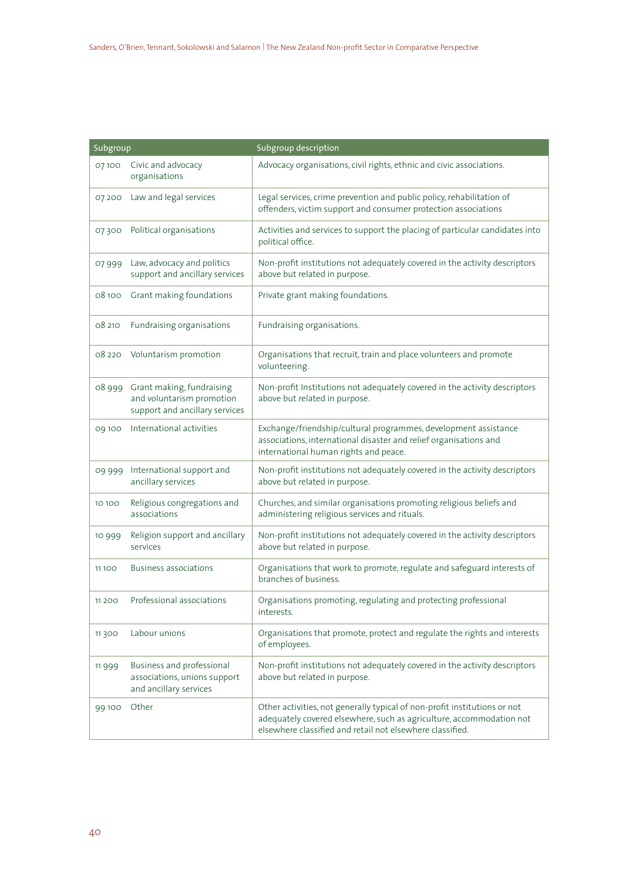| Subgroup |                                                                                          | Subgroup description                                                                                                                                                                                           |
|----------|------------------------------------------------------------------------------------------|----------------------------------------------------------------------------------------------------------------------------------------------------------------------------------------------------------------|
| 07100    | Civic and advocacy<br>organisations                                                      | Advocacy organisations, civil rights, ethnic and civic associations.                                                                                                                                           |
| 07 200   | Law and legal services                                                                   | Legal services, crime prevention and public policy, rehabilitation of<br>offenders, victim support and consumer protection associations                                                                        |
| 07300    | Political organisations                                                                  | Activities and services to support the placing of particular candidates into<br>political office.                                                                                                              |
| 07999    | Law, advocacy and politics<br>support and ancillary services                             | Non-profit institutions not adequately covered in the activity descriptors<br>above but related in purpose.                                                                                                    |
| 08100    | Grant making foundations                                                                 | Private grant making foundations.                                                                                                                                                                              |
| 08 210   | Fundraising organisations                                                                | Fundraising organisations.                                                                                                                                                                                     |
| 08 220   | Voluntarism promotion                                                                    | Organisations that recruit, train and place volunteers and promote<br>volunteering.                                                                                                                            |
| 08 999   | Grant making, fundraising<br>and voluntarism promotion<br>support and ancillary services | Non-profit Institutions not adequately covered in the activity descriptors<br>above but related in purpose.                                                                                                    |
| 09 100   | International activities                                                                 | Exchange/friendship/cultural programmes, development assistance<br>associations, international disaster and relief organisations and<br>international human rights and peace.                                  |
| 09 999   | International support and<br>ancillary services                                          | Non-profit institutions not adequately covered in the activity descriptors<br>above but related in purpose.                                                                                                    |
| 10 10 0  | Religious congregations and<br>associations                                              | Churches, and similar organisations promoting religious beliefs and<br>administering religious services and rituals.                                                                                           |
| 10 9 9 9 | Religion support and ancillary<br>services                                               | Non-profit institutions not adequately covered in the activity descriptors<br>above but related in purpose.                                                                                                    |
| 11 100   | <b>Business associations</b>                                                             | Organisations that work to promote, regulate and safeguard interests of<br>branches of business.                                                                                                               |
| 11 200   | Professional associations                                                                | Organisations promoting, regulating and protecting professional<br>interests.                                                                                                                                  |
| 11300    | Labour unions                                                                            | Organisations that promote, protect and regulate the rights and interests<br>of employees.                                                                                                                     |
| 11999    | Business and professional<br>associations, unions support<br>and ancillary services      | Non-profit institutions not adequately covered in the activity descriptors<br>above but related in purpose.                                                                                                    |
| 99 100   | Other                                                                                    | Other activities, not generally typical of non-profit institutions or not<br>adequately covered elsewhere, such as agriculture, accommodation not<br>elsewhere classified and retail not elsewhere classified. |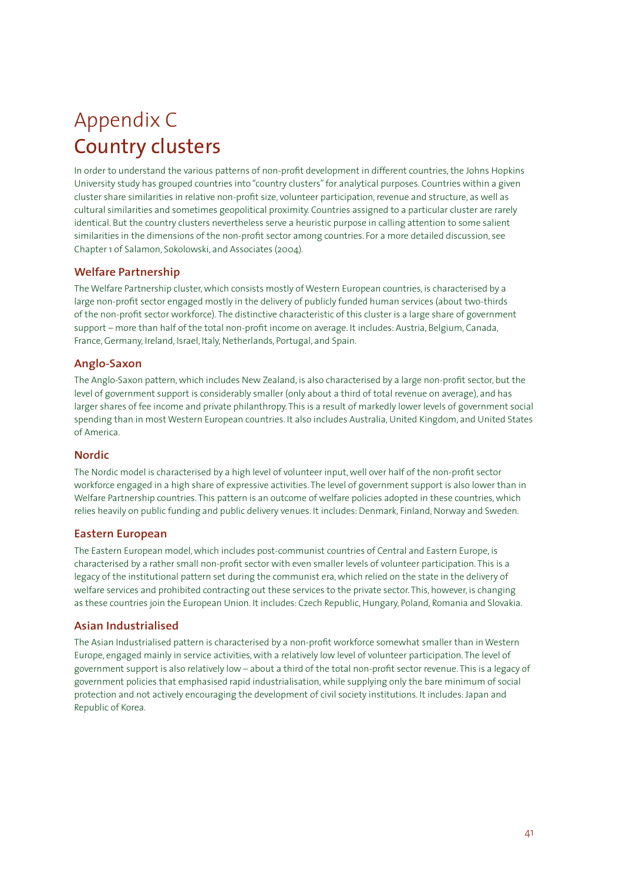# Appendix C Country clusters

In order to understand the various patterns of non-profit development in different countries, the Johns Hopkins University study has grouped countries into "country clusters" for analytical purposes. Countries within a given cluster share similarities in relative non-profit size, volunteer participation, revenue and structure, as well as cultural similarities and sometimes geopolitical proximity. Countries assigned to a particular cluster are rarely identical. But the country clusters nevertheless serve a heuristic purpose in calling attention to some salient similarities in the dimensions of the non-profit sector among countries. For a more detailed discussion, see Chapter 1 of Salamon, Sokolowski, and Associates (2004).

# **Welfare Partnership**

The Welfare Partnership cluster, which consists mostly of Western European countries, is characterised by a large non-profit sector engaged mostly in the delivery of publicly funded human services (about two-thirds of the non-profit sector workforce). The distinctive characteristic of this cluster is a large share of government support – more than half of the total non-profit income on average. It includes: Austria, Belgium, Canada, France, Germany, Ireland, Israel, Italy, Netherlands, Portugal, and Spain.

# **Anglo-Saxon**

The Anglo-Saxon pattern, which includes New Zealand, is also characterised by a large non-profit sector, but the level of government support is considerably smaller (only about a third of total revenue on average), and has larger shares of fee income and private philanthropy. This is a result of markedly lower levels of government social spending than in most Western European countries. It also includes Australia, United Kingdom, and United States of America.

# **Nordic**

The Nordic model is characterised by a high level of volunteer input, well over half of the non-profit sector workforce engaged in a high share of expressive activities. The level of government support is also lower than in Welfare Partnership countries. This pattern is an outcome of welfare policies adopted in these countries, which relies heavily on public funding and public delivery venues. It includes: Denmark, Finland, Norway and Sweden.

# **Eastern European**

The Eastern European model, which includes post-communist countries of Central and Eastern Europe, is characterised by a rather small non-profit sector with even smaller levels of volunteer participation. This is a legacy of the institutional pattern set during the communist era, which relied on the state in the delivery of welfare services and prohibited contracting out these services to the private sector. This, however, is changing as these countries join the European Union. It includes: Czech Republic, Hungary, Poland, Romania and Slovakia.

# **Asian Industrialised**

The Asian Industrialised pattern is characterised by a non-profit workforce somewhat smaller than in Western Europe, engaged mainly in service activities, with a relatively low level of volunteer participation. The level of government support is also relatively low – about a third of the total non-profit sector revenue. This is a legacy of government policies that emphasised rapid industrialisation, while supplying only the bare minimum of social protection and not actively encouraging the development of civil society institutions. It includes: Japan and Republic of Korea.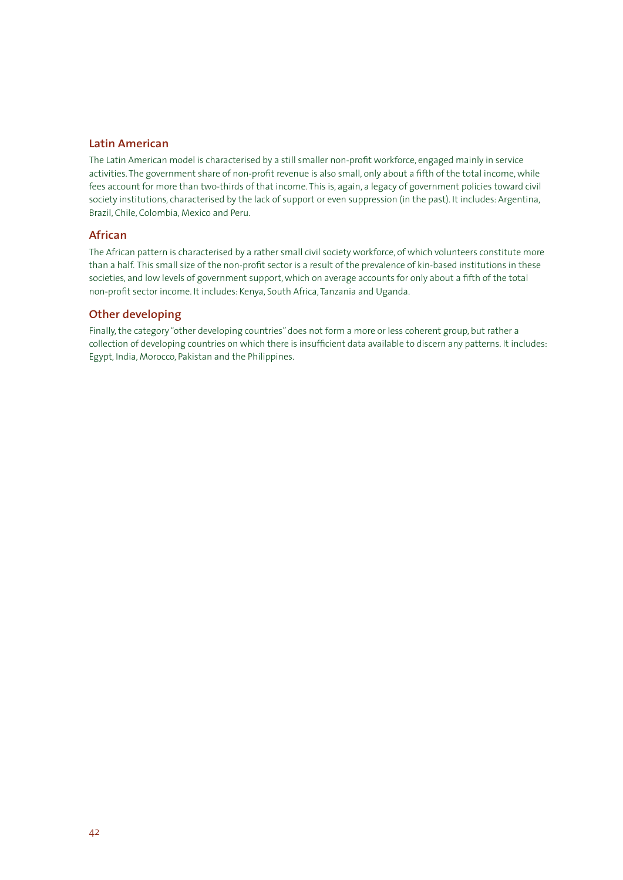# **Latin American**

The Latin American model is characterised by a still smaller non-profit workforce, engaged mainly in service activities. The government share of non-profit revenue is also small, only about a fifth of the total income, while fees account for more than two-thirds of that income. This is, again, a legacy of government policies toward civil society institutions, characterised by the lack of support or even suppression (in the past). It includes: Argentina, Brazil, Chile, Colombia, Mexico and Peru.

# **African**

The African pattern is characterised by a rather small civil society workforce, of which volunteers constitute more than a half. This small size of the non-profit sector is a result of the prevalence of kin-based institutions in these societies, and low levels of government support, which on average accounts for only about a fifth of the total non-profit sector income. It includes: Kenya, South Africa, Tanzania and Uganda.

# **Other developing**

Finally, the category "other developing countries" does not form a more or less coherent group, but rather a collection of developing countries on which there is insufficient data available to discern any patterns. It includes: Egypt, India, Morocco, Pakistan and the Philippines.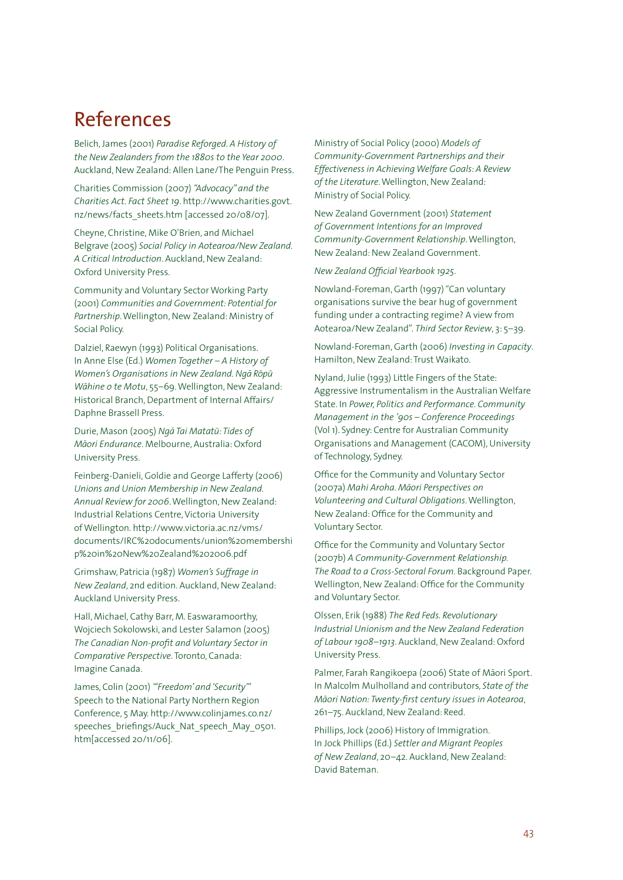# References

Belich, James (2001) *Paradise Reforged. A History of the New Zealanders from the 1880s to the Year 2000*. Auckland, New Zealand: Allen Lane/The Penguin Press.

Charities Commission (2007) *"Advocacy" and the Charities Act. Fact Sheet 19*. http://www.charities.govt. nz/news/facts\_sheets.htm [accessed 20/08/07].

Cheyne, Christine, Mike O'Brien, and Michael Belgrave (2005) *Social Policy in Aotearoa/New Zealand. A Critical Introduction*. Auckland, New Zealand: Oxford University Press.

Community and Voluntary Sector Working Party (2001) *Communities and Government: Potential for Partnership*. Wellington, New Zealand: Ministry of Social Policy.

Dalziel, Raewyn (1993) Political Organisations. In Anne Else (Ed.) *Women Together – A History of Women's Organisations in New Zealand. Ngā Rōpū W¯ahine o te Motu*, 55–69. Wellington, New Zealand: Historical Branch, Department of Internal Affairs/ Daphne Brassell Press.

Durie, Mason (2005) *Ng¯a Tai Matat-u: Tides of M¯aori Endurance*. Melbourne, Australia: Oxford University Press.

Feinberg-Danieli, Goldie and George Lafferty (2006) *Unions and Union Membership in New Zealand. Annual Review for 2006*. Wellington, New Zealand: Industrial Relations Centre, Victoria University of Wellington. http://www.victoria.ac.nz/vms/ documents/IRC%20documents/union%20membershi p%20in%20New%20Zealand%202006.pdf

Grimshaw, Patricia (1987) *Women's Suffrage in New Zealand*, 2nd edition. Auckland, New Zealand: Auckland University Press.

Hall, Michael, Cathy Barr, M. Easwaramoorthy, Wojciech Sokolowski, and Lester Salamon (2005) *The Canadian Non-profit and Voluntary Sector in Comparative Perspective*. Toronto, Canada: Imagine Canada.

James, Colin (2001) *"'Freedom' and 'Security'"* Speech to the National Party Northern Region Conference, 5 May. http://www.colinjames.co.nz/ speeches\_briefings/Auck\_Nat\_speech\_May\_0501. htm[accessed 20/11/06].

Ministry of Social Policy (2000) *Models of Community-Government Partnerships and their Effectiveness in Achieving Welfare Goals: A Review of the Literature*. Wellington, New Zealand: Ministry of Social Policy.

New Zealand Government (2001) *Statement of Government Intentions for an Improved Community-Government Relationship*. Wellington, New Zealand: New Zealand Government.

# *New Zealand Official Yearbook 1925*.

Nowland-Foreman, Garth (1997) "Can voluntary organisations survive the bear hug of government funding under a contracting regime? A view from Aotearoa/New Zealand". *Third Sector Review*, 3: 5–39.

Nowland-Foreman, Garth (2006) *Investing in Capacity*. Hamilton, New Zealand: Trust Waikato.

Nyland, Julie (1993) Little Fingers of the State: Aggressive Instrumentalism in the Australian Welfare State. In *Power, Politics and Performance. Community Management in the '90s – Conference Proceedings* (Vol 1). Sydney: Centre for Australian Community Organisations and Management (CACOM), University of Technology, Sydney.

Office for the Community and Voluntary Sector (2007a) *Mahi Aroha. M¯aori Perspectives on Volunteering and Cultural Obligations*. Wellington, New Zealand: Office for the Community and Voluntary Sector.

Office for the Community and Voluntary Sector (2007b) *A Community-Government Relationship. The Road to a Cross-Sectoral Forum*. Background Paper. Wellington, New Zealand: Office for the Community and Voluntary Sector.

Olssen, Erik (1988) *The Red Feds. Revolutionary Industrial Unionism and the New Zealand Federation of Labour 1908–1913*. Auckland, New Zealand: Oxford University Press.

Palmer, Farah Rangikoepa (2006) State of Māori Sport. In Malcolm Mulholland and contributors, *State of the M¯aori Nation: Twenty-first century issues in Aotearoa*, 261–75. Auckland, New Zealand: Reed.

Phillips, Jock (2006) History of Immigration. In Jock Phillips (Ed.) *Settler and Migrant Peoples of New Zealand*, 20–42. Auckland, New Zealand: David Bateman.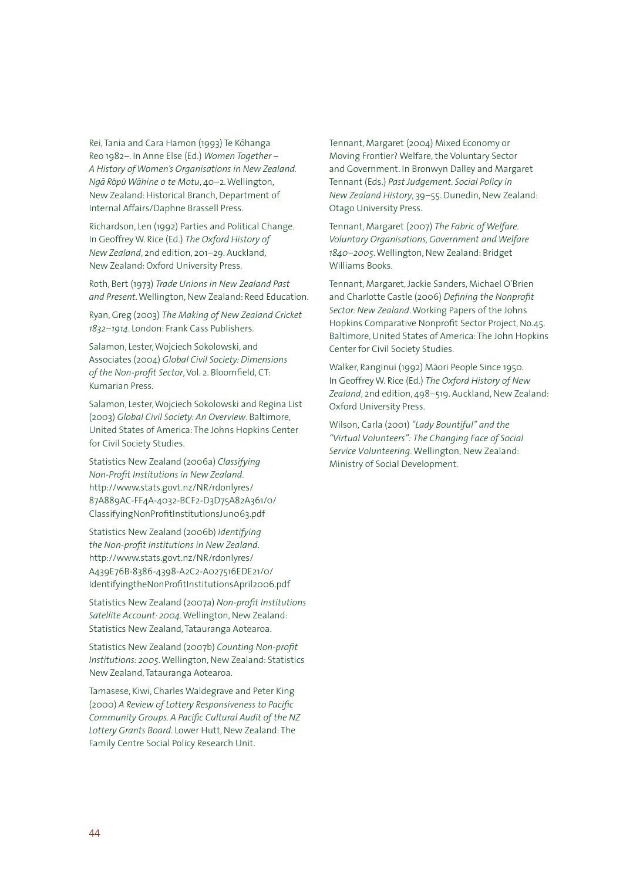Rei, Tania and Cara Hamon (1993) Te Kōhanga Reo 1982–. In Anne Else (Ed.) *Women Together – A History of Women's Organisations in New Zealand. Ng¯a R-op - u W¯ahine o te Motu*, 40–2. Wellington, New Zealand: Historical Branch, Department of Internal Affairs/Daphne Brassell Press.

Richardson, Len (1992) Parties and Political Change. In Geoffrey W. Rice (Ed.) *The Oxford History of New Zealand*, 2nd edition, 201–29. Auckland, New Zealand: Oxford University Press.

Roth, Bert (1973) *Trade Unions in New Zealand Past and Present*. Wellington, New Zealand: Reed Education.

Ryan, Greg (2003) *The Making of New Zealand Cricket 1832–1914*. London: Frank Cass Publishers.

Salamon, Lester, Wojciech Sokolowski, and Associates (2004) *Global Civil Society: Dimensions of the Non-profit Sector*, Vol. 2. Bloomfield, CT: Kumarian Press.

Salamon, Lester, Wojciech Sokolowski and Regina List (2003) *Global Civil Society: An Overview*. Baltimore, United States of America: The Johns Hopkins Center for Civil Society Studies.

Statistics New Zealand (2006a) *Classifying Non-Profit Institutions in New Zealand*. http://www.stats.govt.nz/NR/rdonlyres/ 87A889AC-FF4A-4032-BCF2-D3D75A82A361/0/ ClassifyingNonProfitInstitutionsJun063.pdf

Statistics New Zealand (2006b) *Identifying the Non-profit Institutions in New Zealand*. http://www.stats.govt.nz/NR/rdonlyres/ A439E76B-8386-4398-A2C2-A027516EDE21/0/ IdentifyingtheNonProfitInstitutionsApril2006.pdf

Statistics New Zealand (2007a) *Non-profit Institutions Satellite Account: 2004*. Wellington, New Zealand: Statistics New Zealand, Tatauranga Aotearoa.

Statistics New Zealand (2007b) *Counting Non-profit Institutions: 2005*. Wellington, New Zealand: Statistics New Zealand, Tatauranga Aotearoa.

Tamasese, Kiwi, Charles Waldegrave and Peter King (2000) *A Review of Lottery Responsiveness to Pacific Community Groups. A Pacific Cultural Audit of the NZ Lottery Grants Board*. Lower Hutt, New Zealand: The Family Centre Social Policy Research Unit.

Tennant, Margaret (2004) Mixed Economy or Moving Frontier? Welfare, the Voluntary Sector and Government. In Bronwyn Dalley and Margaret Tennant (Eds.) *Past Judgement. Social Policy in New Zealand History*, 39–55. Dunedin, New Zealand: Otago University Press.

Tennant, Margaret (2007) *The Fabric of Welfare. Voluntary Organisations, Government and Welfare 1840–2005*. Wellington, New Zealand: Bridget Williams Books.

Tennant, Margaret, Jackie Sanders, Michael O'Brien and Charlotte Castle (2006) *Defining the Nonprofit Sector: New Zealand*. Working Papers of the Johns Hopkins Comparative Nonprofit Sector Project, No.45. Baltimore, United States of America: The John Hopkins Center for Civil Society Studies.

Walker, Ranginui (1992) Māori People Since 1950. In Geoffrey W. Rice (Ed.) *The Oxford History of New Zealand*, 2nd edition, 498–519. Auckland, New Zealand: Oxford University Press.

Wilson, Carla (2001) *"Lady Bountiful" and the "Virtual Volunteers": The Changing Face of Social Service Volunteering*. Wellington, New Zealand: Ministry of Social Development.